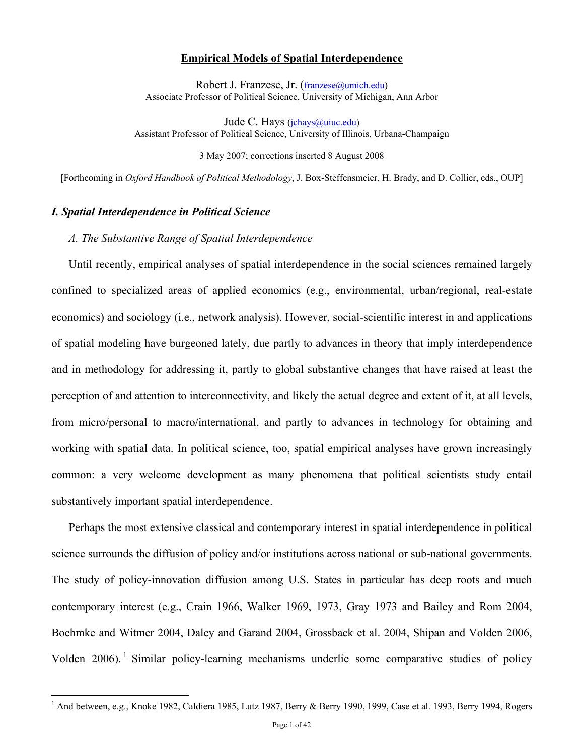#### **Empirical Models of Spatial Interdependence**

Robert J. Franzese, Jr. (franzese@umich.edu) Associate Professor of Political Science, University of Michigan, Ann Arbor

Jude C. Hays (jchays@uiuc.edu) Assistant Professor of Political Science, University of Illinois, Urbana-Champaign

3 May 2007; corrections inserted 8 August 2008

[Forthcoming in *Oxford Handbook of Political Methodology*, J. Box-Steffensmeier, H. Brady, and D. Collier, eds., OUP]

## *I. Spatial Interdependence in Political Science*

 $\overline{a}$ 

#### *A. The Substantive Range of Spatial Interdependence*

Until recently, empirical analyses of spatial interdependence in the social sciences remained largely confined to specialized areas of applied economics (e.g., environmental, urban/regional, real-estate economics) and sociology (i.e., network analysis). However, social-scientific interest in and applications of spatial modeling have burgeoned lately, due partly to advances in theory that imply interdependence and in methodology for addressing it, partly to global substantive changes that have raised at least the perception of and attention to interconnectivity, and likely the actual degree and extent of it, at all levels, from micro/personal to macro/international, and partly to advances in technology for obtaining and working with spatial data. In political science, too, spatial empirical analyses have grown increasingly common: a very welcome development as many phenomena that political scientists study entail substantively important spatial interdependence.

Perhaps the most extensive classical and contemporary interest in spatial interdependence in political science surrounds the diffusion of policy and/or institutions across national or sub-national governments. The study of policy-innovation diffusion among U.S. States in particular has deep roots and much contemporary interest (e.g., Crain 1966, Walker 1969, 1973, Gray 1973 and Bailey and Rom 2004, Boehmke and Witmer 2004, Daley and Garand 2004, Grossback et al. 2004, Shipan and Volden 2006, Volden  $2006$ . Similar policy-learning mechanisms underlie some comparative studies of policy

<sup>&</sup>lt;sup>1</sup> And between, e.g., Knoke 1982, Caldiera 1985, Lutz 1987, Berry & Berry 1990, 1999, Case et al. 1993, Berry 1994, Rogers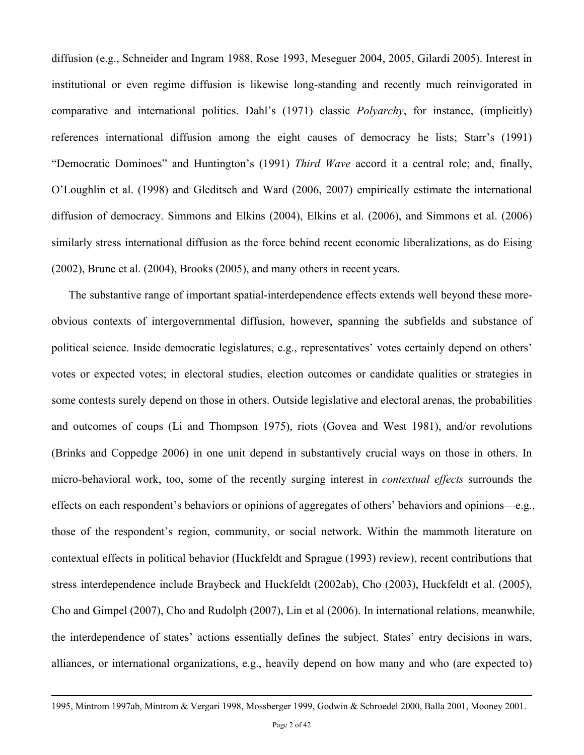diffusion (e.g., Schneider and Ingram 1988, Rose 1993, Meseguer 2004, 2005, Gilardi 2005). Interest in institutional or even regime diffusion is likewise long-standing and recently much reinvigorated in comparative and international politics. Dahl's (1971) classic *Polyarchy*, for instance, (implicitly) references international diffusion among the eight causes of democracy he lists; Starr's (1991) "Democratic Dominoes" and Huntington's (1991) *Third Wave* accord it a central role; and, finally, O'Loughlin et al. (1998) and Gleditsch and Ward (2006, 2007) empirically estimate the international diffusion of democracy. Simmons and Elkins (2004), Elkins et al. (2006), and Simmons et al. (2006) similarly stress international diffusion as the force behind recent economic liberalizations, as do Eising (2002), Brune et al. (2004), Brooks (2005), and many others in recent years.

The substantive range of important spatial-interdependence effects extends well beyond these moreobvious contexts of intergovernmental diffusion, however, spanning the subfields and substance of political science. Inside democratic legislatures, e.g., representatives' votes certainly depend on others' votes or expected votes; in electoral studies, election outcomes or candidate qualities or strategies in some contests surely depend on those in others. Outside legislative and electoral arenas, the probabilities and outcomes of coups (Li and Thompson 1975), riots (Govea and West 1981), and/or revolutions (Brinks and Coppedge 2006) in one unit depend in substantively crucial ways on those in others. In micro-behavioral work, too, some of the recently surging interest in *contextual effects* surrounds the effects on each respondent's behaviors or opinions of aggregates of others' behaviors and opinions—e.g., those of the respondent's region, community, or social network. Within the mammoth literature on contextual effects in political behavior (Huckfeldt and Sprague (1993) review), recent contributions that stress interdependence include Braybeck and Huckfeldt (2002ab), Cho (2003), Huckfeldt et al. (2005), Cho and Gimpel (2007), Cho and Rudolph (2007), Lin et al (2006). In international relations, meanwhile, the interdependence of states' actions essentially defines the subject. States' entry decisions in wars, alliances, or international organizations, e.g., heavily depend on how many and who (are expected to)

 <sup>1995,</sup> Mintrom 1997ab, Mintrom & Vergari 1998, Mossberger 1999, Godwin & Schroedel 2000, Balla 2001, Mooney 2001.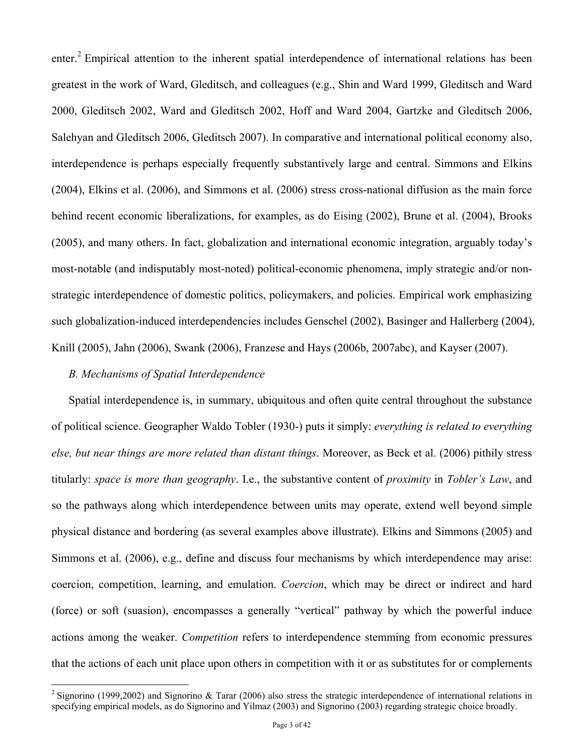enter.<sup>2</sup> Empirical attention to the inherent spatial interdependence of international relations has been greatest in the work of Ward, Gleditsch, and colleagues (e.g., Shin and Ward 1999, Gleditsch and Ward 2000, Gleditsch 2002, Ward and Gleditsch 2002, Hoff and Ward 2004, Gartzke and Gleditsch 2006, Salehyan and Gleditsch 2006, Gleditsch 2007). In comparative and international political economy also, interdependence is perhaps especially frequently substantively large and central. Simmons and Elkins (2004), Elkins et al. (2006), and Simmons et al. (2006) stress cross-national diffusion as the main force behind recent economic liberalizations, for examples, as do Eising (2002), Brune et al. (2004), Brooks (2005), and many others. In fact, globalization and international economic integration, arguably today's most-notable (and indisputably most-noted) political-economic phenomena, imply strategic and/or nonstrategic interdependence of domestic politics, policymakers, and policies. Empirical work emphasizing such globalization-induced interdependencies includes Genschel (2002), Basinger and Hallerberg (2004), Knill (2005), Jahn (2006), Swank (2006), Franzese and Hays (2006b, 2007abc), and Kayser (2007).

## *B. Mechanisms of Spatial Interdependence*

1

Spatial interdependence is, in summary, ubiquitous and often quite central throughout the substance of political science. Geographer Waldo Tobler (1930-) puts it simply: *everything is related to everything else, but near things are more related than distant things*. Moreover, as Beck et al. (2006) pithily stress titularly: *space is more than geography*. I.e., the substantive content of *proximity* in *Tobler's Law*, and so the pathways along which interdependence between units may operate, extend well beyond simple physical distance and bordering (as several examples above illustrate). Elkins and Simmons (2005) and Simmons et al. (2006), e.g., define and discuss four mechanisms by which interdependence may arise: coercion, competition, learning, and emulation. *Coercion*, which may be direct or indirect and hard (force) or soft (suasion), encompasses a generally "vertical" pathway by which the powerful induce actions among the weaker. *Competition* refers to interdependence stemming from economic pressures that the actions of each unit place upon others in competition with it or as substitutes for or complements

<sup>&</sup>lt;sup>2</sup> Signorino (1999,2002) and Signorino & Tarar (2006) also stress the strategic interdependence of international relations in specifying empirical models, as do Signorino and Yilmaz (2003) and Signorino (2003) regarding strategic choice broadly.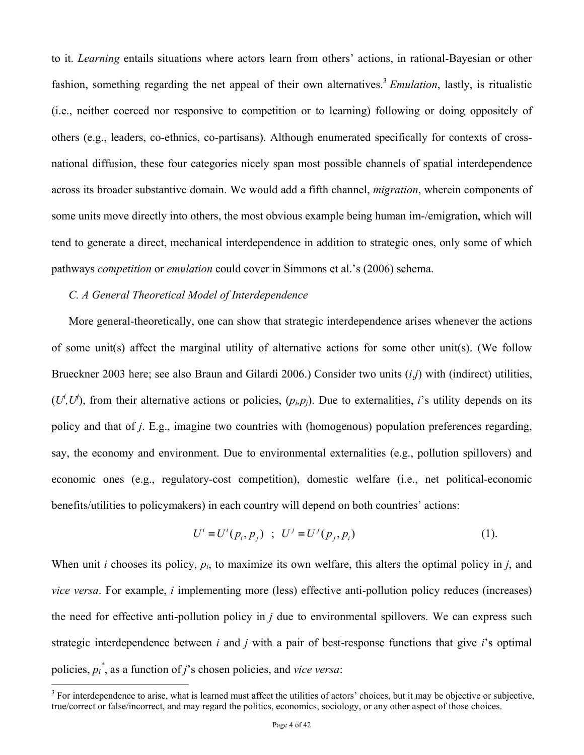to it. *Learning* entails situations where actors learn from others' actions, in rational-Bayesian or other fashion, something regarding the net appeal of their own alternatives.<sup>3</sup> *Emulation*, lastly, is ritualistic (i.e., neither coerced nor responsive to competition or to learning) following or doing oppositely of others (e.g., leaders, co-ethnics, co-partisans). Although enumerated specifically for contexts of crossnational diffusion, these four categories nicely span most possible channels of spatial interdependence across its broader substantive domain. We would add a fifth channel, *migration*, wherein components of some units move directly into others, the most obvious example being human im-/emigration, which will tend to generate a direct, mechanical interdependence in addition to strategic ones, only some of which pathways *competition* or *emulation* could cover in Simmons et al.'s (2006) schema.

## *C. A General Theoretical Model of Interdependence*

1

More general-theoretically, one can show that strategic interdependence arises whenever the actions of some unit(s) affect the marginal utility of alternative actions for some other unit(s). (We follow Brueckner 2003 here; see also Braun and Gilardi 2006.) Consider two units (*i*,*j*) with (indirect) utilities,  $(U^i, U^j)$ , from their alternative actions or policies,  $(p_i, p_j)$ . Due to externalities, *i*'s utility depends on its policy and that of *j*. E.g., imagine two countries with (homogenous) population preferences regarding, say, the economy and environment. Due to environmental externalities (e.g., pollution spillovers) and economic ones (e.g., regulatory-cost competition), domestic welfare (i.e., net political-economic benefits/utilities to policymakers) in each country will depend on both countries' actions:

$$
U^{i} \equiv U^{i}(p_{i}, p_{j}) \quad ; \quad U^{j} \equiv U^{j}(p_{j}, p_{i}) \tag{1}.
$$

When unit *i* chooses its policy, *pi*, to maximize its own welfare, this alters the optimal policy in *j*, and *vice versa*. For example, *i* implementing more (less) effective anti-pollution policy reduces (increases) the need for effective anti-pollution policy in *j* due to environmental spillovers. We can express such strategic interdependence between *i* and *j* with a pair of best-response functions that give *i*'s optimal policies,  $p_i^*$ , as a function of *j*'s chosen policies, and *vice versa*:

 $3$  For interdependence to arise, what is learned must affect the utilities of actors' choices, but it may be objective or subjective, true/correct or false/incorrect, and may regard the politics, economics, sociology, or any other aspect of those choices.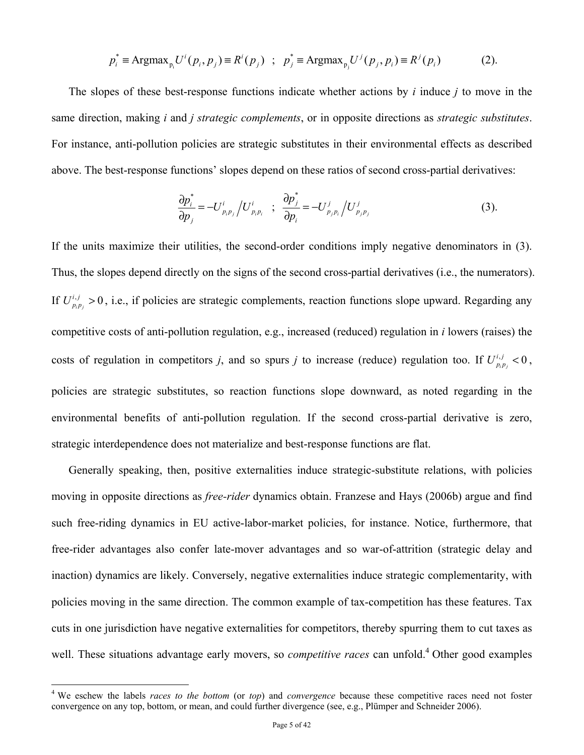$$
p_i^* \equiv \text{Argmax}_{p_i} U^i(p_i, p_j) \equiv R^i(p_j) \; ; \; p_j^* \equiv \text{Argmax}_{p_j} U^j(p_j, p_i) \equiv R^j(p_i) \tag{2}.
$$

The slopes of these best-response functions indicate whether actions by *i* induce *j* to move in the same direction, making *i* and *j strategic complements*, or in opposite directions as *strategic substitutes*. For instance, anti-pollution policies are strategic substitutes in their environmental effects as described above. The best-response functions' slopes depend on these ratios of second cross-partial derivatives:

$$
\frac{\partial p_i^*}{\partial p_j} = -U_{p_i p_j}^i / U_{p_i p_i}^i \quad ; \quad \frac{\partial p_j^*}{\partial p_i} = -U_{p_j p_i}^j / U_{p_j p_j}^j \tag{3}.
$$

If the units maximize their utilities, the second-order conditions imply negative denominators in (3). Thus, the slopes depend directly on the signs of the second cross-partial derivatives (i.e., the numerators). If  $U_{p_i p_j}^{i,j} > 0$ , i.e., if policies are strategic complements, reaction functions slope upward. Regarding any competitive costs of anti-pollution regulation, e.g., increased (reduced) regulation in *i* lowers (raises) the costs of regulation in competitors *j*, and so spurs *j* to increase (reduce) regulation too. If  $U_{p_i p_j}^{i,j} < 0$ , policies are strategic substitutes, so reaction functions slope downward, as noted regarding in the environmental benefits of anti-pollution regulation. If the second cross-partial derivative is zero, strategic interdependence does not materialize and best-response functions are flat.

Generally speaking, then, positive externalities induce strategic-substitute relations, with policies moving in opposite directions as *free-rider* dynamics obtain. Franzese and Hays (2006b) argue and find such free-riding dynamics in EU active-labor-market policies, for instance. Notice, furthermore, that free-rider advantages also confer late-mover advantages and so war-of-attrition (strategic delay and inaction) dynamics are likely. Conversely, negative externalities induce strategic complementarity, with policies moving in the same direction. The common example of tax-competition has these features. Tax cuts in one jurisdiction have negative externalities for competitors, thereby spurring them to cut taxes as well. These situations advantage early movers, so *competitive races* can unfold.<sup>4</sup> Other good examples

1

<sup>4</sup> We eschew the labels *races to the bottom* (or *top*) and *convergence* because these competitive races need not foster convergence on any top, bottom, or mean, and could further divergence (see, e.g., Plümper and Schneider 2006).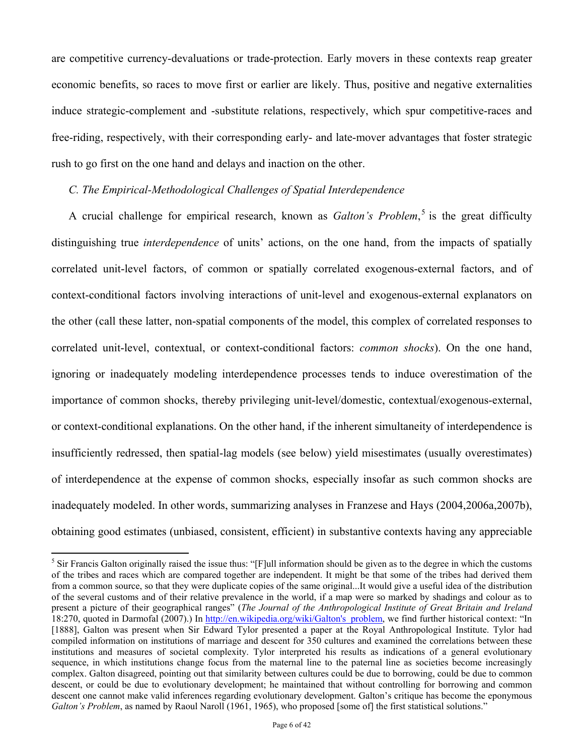are competitive currency-devaluations or trade-protection. Early movers in these contexts reap greater economic benefits, so races to move first or earlier are likely. Thus, positive and negative externalities induce strategic-complement and -substitute relations, respectively, which spur competitive-races and free-riding, respectively, with their corresponding early- and late-mover advantages that foster strategic rush to go first on the one hand and delays and inaction on the other.

## *C. The Empirical-Methodological Challenges of Spatial Interdependence*

A crucial challenge for empirical research, known as *Galton's Problem*,<sup>5</sup> is the great difficulty distinguishing true *interdependence* of units' actions, on the one hand, from the impacts of spatially correlated unit-level factors, of common or spatially correlated exogenous-external factors, and of context-conditional factors involving interactions of unit-level and exogenous-external explanators on the other (call these latter, non-spatial components of the model, this complex of correlated responses to correlated unit-level, contextual, or context-conditional factors: *common shocks*). On the one hand, ignoring or inadequately modeling interdependence processes tends to induce overestimation of the importance of common shocks, thereby privileging unit-level/domestic, contextual/exogenous-external, or context-conditional explanations. On the other hand, if the inherent simultaneity of interdependence is insufficiently redressed, then spatial-lag models (see below) yield misestimates (usually overestimates) of interdependence at the expense of common shocks, especially insofar as such common shocks are inadequately modeled. In other words, summarizing analyses in Franzese and Hays (2004,2006a,2007b), obtaining good estimates (unbiased, consistent, efficient) in substantive contexts having any appreciable

<u>.</u>

<sup>&</sup>lt;sup>5</sup> Sir Francis Galton originally raised the issue thus: "[F]ull information should be given as to the degree in which the customs of the tribes and races which are compared together are independent. It might be that some of the tribes had derived them from a common source, so that they were duplicate copies of the same original...It would give a useful idea of the distribution of the several customs and of their relative prevalence in the world, if a map were so marked by shadings and colour as to present a picture of their geographical ranges" (*The Journal of the Anthropological Institute of Great Britain and Ireland* 18:270, quoted in Darmofal (2007).) In http://en.wikipedia.org/wiki/Galton's problem, we find further historical context: "In [1888], Galton was present when Sir Edward Tylor presented a paper at the Royal Anthropological Institute. Tylor had compiled information on institutions of marriage and descent for 350 cultures and examined the correlations between these institutions and measures of societal complexity. Tylor interpreted his results as indications of a general evolutionary sequence, in which institutions change focus from the maternal line to the paternal line as societies become increasingly complex. Galton disagreed, pointing out that similarity between cultures could be due to borrowing, could be due to common descent, or could be due to evolutionary development; he maintained that without controlling for borrowing and common descent one cannot make valid inferences regarding evolutionary development. Galton's critique has become the eponymous *Galton's Problem*, as named by Raoul Naroll (1961, 1965), who proposed [some of] the first statistical solutions."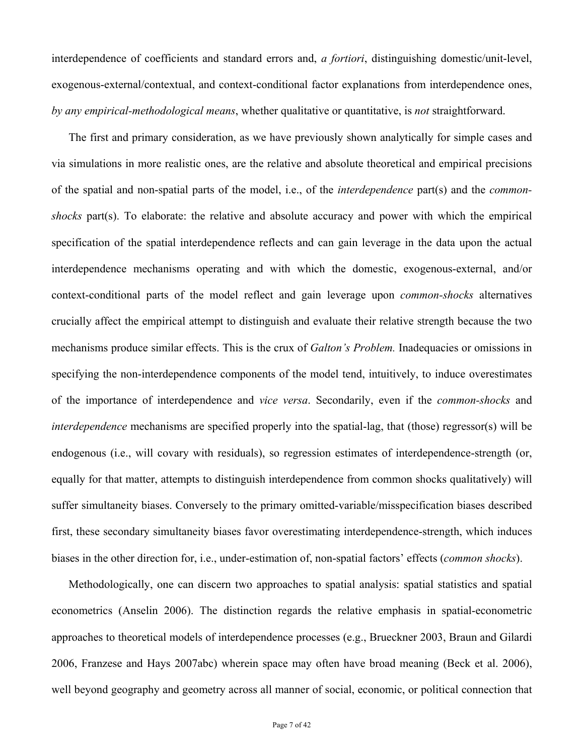interdependence of coefficients and standard errors and, *a fortiori*, distinguishing domestic/unit-level, exogenous-external/contextual, and context-conditional factor explanations from interdependence ones, *by any empirical-methodological means*, whether qualitative or quantitative, is *not* straightforward.

The first and primary consideration, as we have previously shown analytically for simple cases and via simulations in more realistic ones, are the relative and absolute theoretical and empirical precisions of the spatial and non-spatial parts of the model, i.e., of the *interdependence* part(s) and the *commonshocks* part(s). To elaborate: the relative and absolute accuracy and power with which the empirical specification of the spatial interdependence reflects and can gain leverage in the data upon the actual interdependence mechanisms operating and with which the domestic, exogenous-external, and/or context-conditional parts of the model reflect and gain leverage upon *common-shocks* alternatives crucially affect the empirical attempt to distinguish and evaluate their relative strength because the two mechanisms produce similar effects. This is the crux of *Galton's Problem.* Inadequacies or omissions in specifying the non-interdependence components of the model tend, intuitively, to induce overestimates of the importance of interdependence and *vice versa*. Secondarily, even if the *common-shocks* and *interdependence* mechanisms are specified properly into the spatial-lag, that (those) regressor(s) will be endogenous (i.e., will covary with residuals), so regression estimates of interdependence-strength (or, equally for that matter, attempts to distinguish interdependence from common shocks qualitatively) will suffer simultaneity biases. Conversely to the primary omitted-variable/misspecification biases described first, these secondary simultaneity biases favor overestimating interdependence-strength, which induces biases in the other direction for, i.e., under-estimation of, non-spatial factors' effects (*common shocks*).

Methodologically, one can discern two approaches to spatial analysis: spatial statistics and spatial econometrics (Anselin 2006). The distinction regards the relative emphasis in spatial-econometric approaches to theoretical models of interdependence processes (e.g., Brueckner 2003, Braun and Gilardi 2006, Franzese and Hays 2007abc) wherein space may often have broad meaning (Beck et al. 2006), well beyond geography and geometry across all manner of social, economic, or political connection that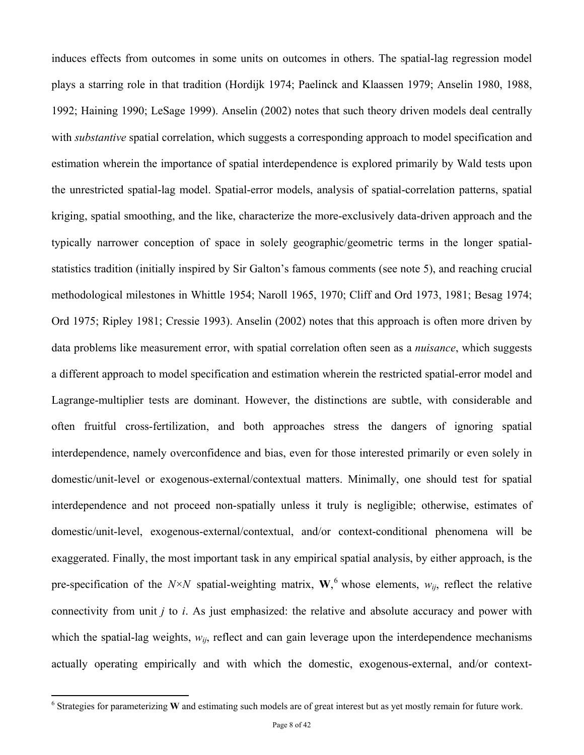induces effects from outcomes in some units on outcomes in others. The spatial-lag regression model plays a starring role in that tradition (Hordijk 1974; Paelinck and Klaassen 1979; Anselin 1980, 1988, 1992; Haining 1990; LeSage 1999). Anselin (2002) notes that such theory driven models deal centrally with *substantive* spatial correlation, which suggests a corresponding approach to model specification and estimation wherein the importance of spatial interdependence is explored primarily by Wald tests upon the unrestricted spatial-lag model. Spatial-error models, analysis of spatial-correlation patterns, spatial kriging, spatial smoothing, and the like, characterize the more-exclusively data-driven approach and the typically narrower conception of space in solely geographic/geometric terms in the longer spatialstatistics tradition (initially inspired by Sir Galton's famous comments (see note 5), and reaching crucial methodological milestones in Whittle 1954; Naroll 1965, 1970; Cliff and Ord 1973, 1981; Besag 1974; Ord 1975; Ripley 1981; Cressie 1993). Anselin (2002) notes that this approach is often more driven by data problems like measurement error, with spatial correlation often seen as a *nuisance*, which suggests a different approach to model specification and estimation wherein the restricted spatial-error model and Lagrange-multiplier tests are dominant. However, the distinctions are subtle, with considerable and often fruitful cross-fertilization, and both approaches stress the dangers of ignoring spatial interdependence, namely overconfidence and bias, even for those interested primarily or even solely in domestic/unit-level or exogenous-external/contextual matters. Minimally, one should test for spatial interdependence and not proceed non-spatially unless it truly is negligible; otherwise, estimates of domestic/unit-level, exogenous-external/contextual, and/or context-conditional phenomena will be exaggerated. Finally, the most important task in any empirical spatial analysis, by either approach, is the pre-specification of the  $N \times N$  spatial-weighting matrix, **W**,<sup>6</sup> whose elements,  $w_{ij}$ , reflect the relative connectivity from unit *j* to *i*. As just emphasized: the relative and absolute accuracy and power with which the spatial-lag weights,  $w_{ij}$ , reflect and can gain leverage upon the interdependence mechanisms actually operating empirically and with which the domestic, exogenous-external, and/or context-

 $\overline{a}$ 

<sup>&</sup>lt;sup>6</sup> Strategies for parameterizing W and estimating such models are of great interest but as yet mostly remain for future work.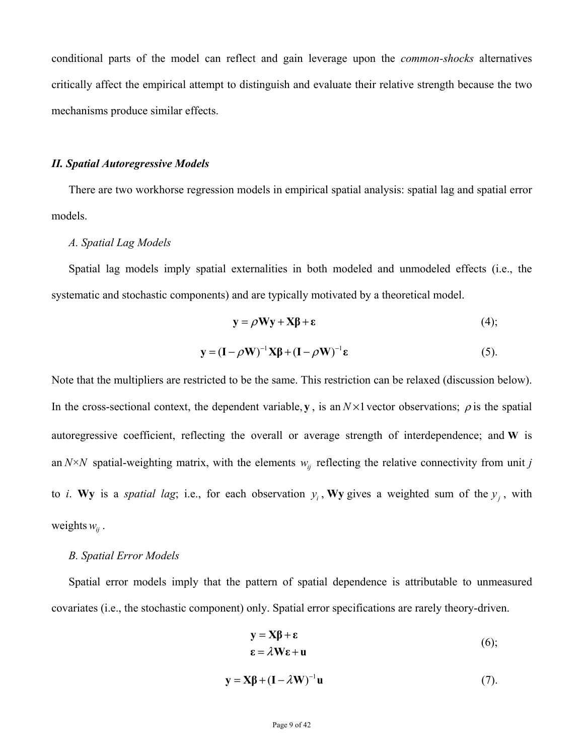conditional parts of the model can reflect and gain leverage upon the *common-shocks* alternatives critically affect the empirical attempt to distinguish and evaluate their relative strength because the two mechanisms produce similar effects.

#### *II. Spatial Autoregressive Models*

There are two workhorse regression models in empirical spatial analysis: spatial lag and spatial error models.

#### *A. Spatial Lag Models*

Spatial lag models imply spatial externalities in both modeled and unmodeled effects (i.e., the systematic and stochastic components) and are typically motivated by a theoretical model.

$$
y = \rho Wy + X\beta + \varepsilon
$$
 (4);

$$
\mathbf{y} = (\mathbf{I} - \rho \mathbf{W})^{-1} \mathbf{X} \boldsymbol{\beta} + (\mathbf{I} - \rho \mathbf{W})^{-1} \boldsymbol{\epsilon}
$$
 (5).

Note that the multipliers are restricted to be the same. This restriction can be relaxed (discussion below). In the cross-sectional context, the dependent variable, **y**, is an  $N \times 1$  vector observations;  $\rho$  is the spatial autoregressive coefficient, reflecting the overall or average strength of interdependence; and **W** is an  $N \times N$  spatial-weighting matrix, with the elements  $w_{ij}$  reflecting the relative connectivity from unit *j* to *i*. Wy is a *spatial lag*; i.e., for each observation  $y_i$ , Wy gives a weighted sum of the  $y_i$ , with weights  $w_{ii}$ .

#### *B. Spatial Error Models*

Spatial error models imply that the pattern of spatial dependence is attributable to unmeasured covariates (i.e., the stochastic component) only. Spatial error specifications are rarely theory-driven.

$$
\mathbf{y} = \mathbf{X}\boldsymbol{\beta} + \boldsymbol{\epsilon}
$$
  
\n
$$
\boldsymbol{\epsilon} = \lambda \mathbf{W}\boldsymbol{\epsilon} + \mathbf{u}
$$
 (6);

$$
\mathbf{y} = \mathbf{X}\boldsymbol{\beta} + (\mathbf{I} - \lambda \mathbf{W})^{-1}\mathbf{u}
$$
 (7).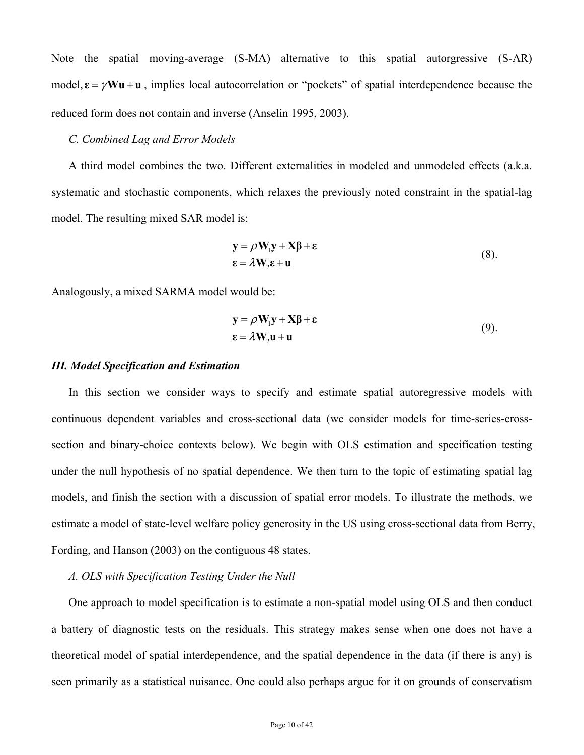Note the spatial moving-average (S-MA) alternative to this spatial autorgressive (S-AR) model,  $\mathbf{\varepsilon} = \gamma \mathbf{W} \mathbf{u} + \mathbf{u}$ , implies local autocorrelation or "pockets" of spatial interdependence because the reduced form does not contain and inverse (Anselin 1995, 2003).

### *C. Combined Lag and Error Models*

A third model combines the two. Different externalities in modeled and unmodeled effects (a.k.a. systematic and stochastic components, which relaxes the previously noted constraint in the spatial-lag model. The resulting mixed SAR model is:

$$
\mathbf{y} = \rho \mathbf{W}_{1} \mathbf{y} + \mathbf{X} \boldsymbol{\beta} + \boldsymbol{\epsilon}
$$
  

$$
\boldsymbol{\epsilon} = \lambda \mathbf{W}_{2} \boldsymbol{\epsilon} + \mathbf{u}
$$
 (8).

Analogously, a mixed SARMA model would be:

$$
\mathbf{y} = \rho \mathbf{W}_{1} \mathbf{y} + \mathbf{X} \boldsymbol{\beta} + \boldsymbol{\epsilon}
$$
  

$$
\boldsymbol{\epsilon} = \lambda \mathbf{W}_{2} \mathbf{u} + \mathbf{u}
$$
 (9).

#### *III. Model Specification and Estimation*

In this section we consider ways to specify and estimate spatial autoregressive models with continuous dependent variables and cross-sectional data (we consider models for time-series-crosssection and binary-choice contexts below). We begin with OLS estimation and specification testing under the null hypothesis of no spatial dependence. We then turn to the topic of estimating spatial lag models, and finish the section with a discussion of spatial error models. To illustrate the methods, we estimate a model of state-level welfare policy generosity in the US using cross-sectional data from Berry, Fording, and Hanson (2003) on the contiguous 48 states.

## *A. OLS with Specification Testing Under the Null*

One approach to model specification is to estimate a non-spatial model using OLS and then conduct a battery of diagnostic tests on the residuals. This strategy makes sense when one does not have a theoretical model of spatial interdependence, and the spatial dependence in the data (if there is any) is seen primarily as a statistical nuisance. One could also perhaps argue for it on grounds of conservatism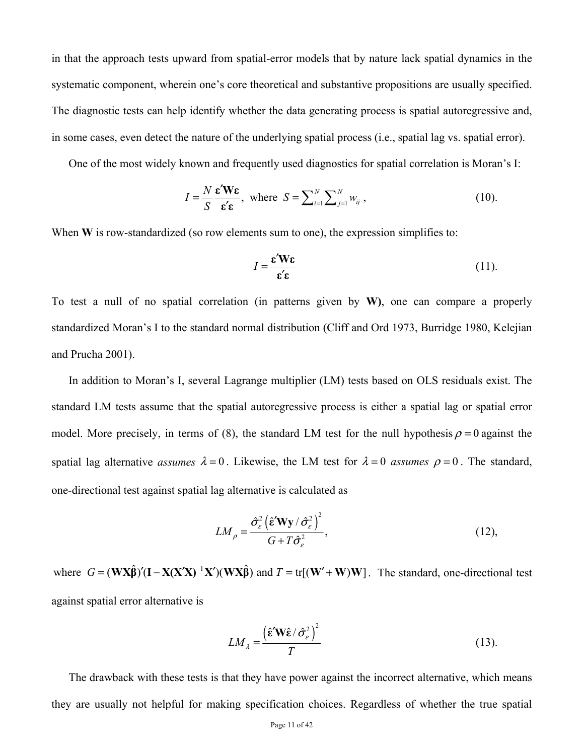in that the approach tests upward from spatial-error models that by nature lack spatial dynamics in the systematic component, wherein one's core theoretical and substantive propositions are usually specified. The diagnostic tests can help identify whether the data generating process is spatial autoregressive and, in some cases, even detect the nature of the underlying spatial process (i.e., spatial lag vs. spatial error).

One of the most widely known and frequently used diagnostics for spatial correlation is Moran's I:

$$
I = \frac{N}{S} \frac{\mathbf{\varepsilon}' \mathbf{W} \mathbf{\varepsilon}}{\mathbf{\varepsilon}' \mathbf{\varepsilon}}, \text{ where } S = \sum_{i=1}^{N} \sum_{j=1}^{N} w_{ij}, \qquad (10).
$$

When **W** is row-standardized (so row elements sum to one), the expression simplifies to:

$$
I = \frac{\varepsilon' W \varepsilon}{\varepsilon' \varepsilon} \tag{11}
$$

To test a null of no spatial correlation (in patterns given by **W)**, one can compare a properly standardized Moran's I to the standard normal distribution (Cliff and Ord 1973, Burridge 1980, Kelejian and Prucha 2001).

In addition to Moran's I, several Lagrange multiplier (LM) tests based on OLS residuals exist. The standard LM tests assume that the spatial autoregressive process is either a spatial lag or spatial error model. More precisely, in terms of (8), the standard LM test for the null hypothesis  $\rho = 0$  against the spatial lag alternative *assumes*  $\lambda = 0$ . Likewise, the LM test for  $\lambda = 0$  *assumes*  $\rho = 0$ . The standard, one-directional test against spatial lag alternative is calculated as

$$
LM_{\rho} = \frac{\hat{\sigma}_{\varepsilon}^{2} \left(\hat{\varepsilon}^{\prime} W y / \hat{\sigma}_{\varepsilon}^{2}\right)^{2}}{G + T \hat{\sigma}_{\varepsilon}^{2}},
$$
\n(12),

where  $G = (\mathbf{W} \mathbf{X} \hat{\mathbf{\beta}})' (\mathbf{I} - \mathbf{X} (\mathbf{X}' \mathbf{X})^{-1} \mathbf{X}') (\mathbf{W} \mathbf{X} \hat{\mathbf{\beta}})$  and  $T = \text{tr}[(\mathbf{W}' + \mathbf{W}) \mathbf{W}]$ . The standard, one-directional test against spatial error alternative is

$$
LM_{\lambda} = \frac{\left(\hat{\varepsilon}' \mathbf{W} \hat{\varepsilon} / \hat{\sigma}_{\varepsilon}^2\right)^2}{T}
$$
 (13).

The drawback with these tests is that they have power against the incorrect alternative, which means they are usually not helpful for making specification choices. Regardless of whether the true spatial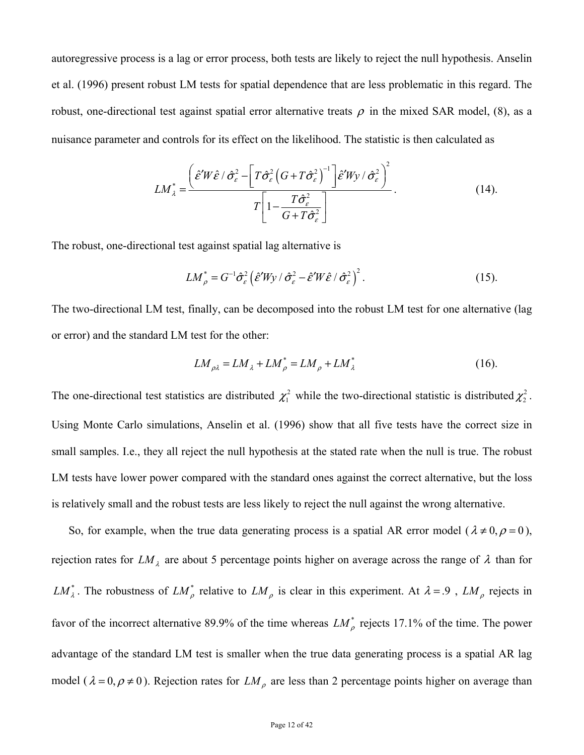autoregressive process is a lag or error process, both tests are likely to reject the null hypothesis. Anselin et al. (1996) present robust LM tests for spatial dependence that are less problematic in this regard. The robust, one-directional test against spatial error alternative treats  $\rho$  in the mixed SAR model, (8), as a nuisance parameter and controls for its effect on the likelihood. The statistic is then calculated as

$$
LM_{\lambda}^{*} = \frac{\left(\hat{\varepsilon}^{\prime} W \hat{\varepsilon} / \hat{\sigma}_{\varepsilon}^{2} - \left[T \hat{\sigma}_{\varepsilon}^{2} \left(G + T \hat{\sigma}_{\varepsilon}^{2}\right)^{-1}\right] \hat{\varepsilon}^{\prime} W y / \hat{\sigma}_{\varepsilon}^{2}\right)^{2}}{T\left[1 - \frac{T \hat{\sigma}_{\varepsilon}^{2}}{G + T \hat{\sigma}_{\varepsilon}^{2}}\right]}.
$$
(14).

The robust, one-directional test against spatial lag alternative is

$$
LM_{\rho}^* = G^{-1}\hat{\sigma}_{\varepsilon}^2 \left(\hat{\varepsilon}'Wy / \hat{\sigma}_{\varepsilon}^2 - \hat{\varepsilon}'W\hat{\varepsilon} / \hat{\sigma}_{\varepsilon}^2\right)^2.
$$
 (15).

The two-directional LM test, finally, can be decomposed into the robust LM test for one alternative (lag or error) and the standard LM test for the other:

$$
LM_{\rho\lambda} = LM_{\lambda} + LM_{\rho}^{*} = LM_{\rho} + LM_{\lambda}^{*}
$$
 (16).

The one-directional test statistics are distributed  $\chi^2$  while the two-directional statistic is distributed  $\chi^2$ . Using Monte Carlo simulations, Anselin et al. (1996) show that all five tests have the correct size in small samples. I.e., they all reject the null hypothesis at the stated rate when the null is true. The robust LM tests have lower power compared with the standard ones against the correct alternative, but the loss is relatively small and the robust tests are less likely to reject the null against the wrong alternative.

So, for example, when the true data generating process is a spatial AR error model ( $\lambda \neq 0, \rho = 0$ ), rejection rates for  $LM_{\lambda}$  are about 5 percentage points higher on average across the range of  $\lambda$  than for  $LM_{\lambda}^*$ . The robustness of  $LM_{\rho}^*$  relative to  $LM_{\rho}$  is clear in this experiment. At  $\lambda = .9$ ,  $LM_{\rho}$  rejects in favor of the incorrect alternative 89.9% of the time whereas  $LM_{\rho}^*$  rejects 17.1% of the time. The power advantage of the standard LM test is smaller when the true data generating process is a spatial AR lag model ( $\lambda = 0, \rho \neq 0$ ). Rejection rates for  $LM_{\rho}$  are less than 2 percentage points higher on average than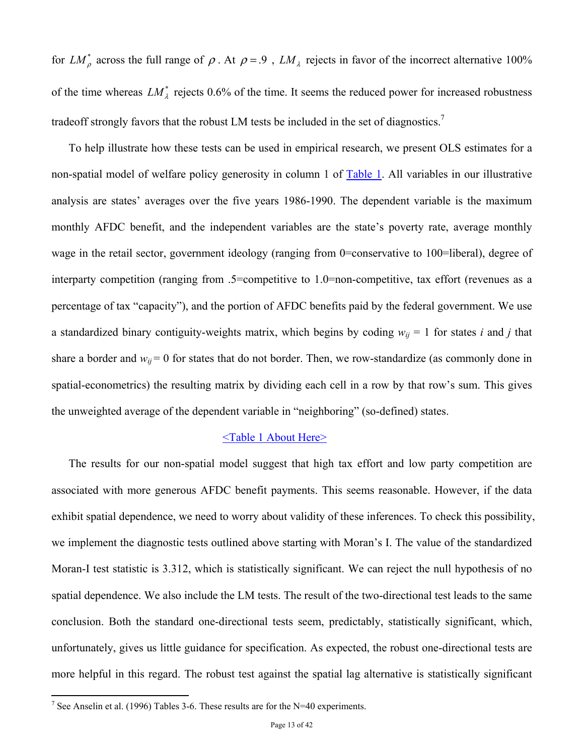for  $LM_{\rho}^*$  across the full range of  $\rho$ . At  $\rho = .9$ ,  $LM_{\lambda}$  rejects in favor of the incorrect alternative 100% of the time whereas  $LM_{\lambda}^*$  rejects 0.6% of the time. It seems the reduced power for increased robustness tradeoff strongly favors that the robust LM tests be included in the set of diagnostics.<sup>7</sup>

To help illustrate how these tests can be used in empirical research, we present OLS estimates for a non-spatial model of welfare policy generosity in column 1 of Table 1. All variables in our illustrative analysis are states' averages over the five years 1986-1990. The dependent variable is the maximum monthly AFDC benefit, and the independent variables are the state's poverty rate, average monthly wage in the retail sector, government ideology (ranging from 0=conservative to 100=liberal), degree of interparty competition (ranging from .5=competitive to 1.0=non-competitive, tax effort (revenues as a percentage of tax "capacity"), and the portion of AFDC benefits paid by the federal government. We use a standardized binary contiguity-weights matrix, which begins by coding  $w_{ij} = 1$  for states *i* and *j* that share a border and  $w_{ij} = 0$  for states that do not border. Then, we row-standardize (as commonly done in spatial-econometrics) the resulting matrix by dividing each cell in a row by that row's sum. This gives the unweighted average of the dependent variable in "neighboring" (so-defined) states.

## <Table 1 About Here>

The results for our non-spatial model suggest that high tax effort and low party competition are associated with more generous AFDC benefit payments. This seems reasonable. However, if the data exhibit spatial dependence, we need to worry about validity of these inferences. To check this possibility, we implement the diagnostic tests outlined above starting with Moran's I. The value of the standardized Moran-I test statistic is 3.312, which is statistically significant. We can reject the null hypothesis of no spatial dependence. We also include the LM tests. The result of the two-directional test leads to the same conclusion. Both the standard one-directional tests seem, predictably, statistically significant, which, unfortunately, gives us little guidance for specification. As expected, the robust one-directional tests are more helpful in this regard. The robust test against the spatial lag alternative is statistically significant

 7 See Anselin et al. (1996) Tables 3-6. These results are for the N=40 experiments.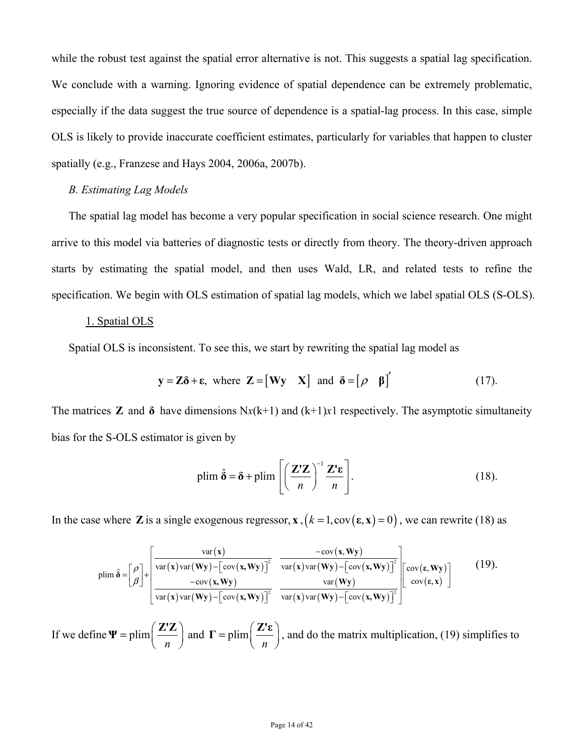while the robust test against the spatial error alternative is not. This suggests a spatial lag specification. We conclude with a warning. Ignoring evidence of spatial dependence can be extremely problematic, especially if the data suggest the true source of dependence is a spatial-lag process. In this case, simple OLS is likely to provide inaccurate coefficient estimates, particularly for variables that happen to cluster spatially (e.g., Franzese and Hays 2004, 2006a, 2007b).

# *B. Estimating Lag Models*

The spatial lag model has become a very popular specification in social science research. One might arrive to this model via batteries of diagnostic tests or directly from theory. The theory-driven approach starts by estimating the spatial model, and then uses Wald, LR, and related tests to refine the specification. We begin with OLS estimation of spatial lag models, which we label spatial OLS (S-OLS).

## 1. Spatial OLS

Spatial OLS is inconsistent. To see this, we start by rewriting the spatial lag model as

$$
y = Z\delta + \varepsilon
$$
, where  $Z = [Wy X]$  and  $\delta = [\rho \beta]'$  (17).

The matrices **Z** and  $\delta$  have dimensions  $Nx(k+1)$  and  $(k+1)x1$  respectively. The asymptotic simultaneity bias for the S-OLS estimator is given by

$$
\text{plim } \hat{\delta} = \delta + \text{plim} \left[ \left( \frac{\mathbf{Z}' \mathbf{Z}}{n} \right)^{-1} \frac{\mathbf{Z}' \mathbf{\varepsilon}}{n} \right]. \tag{18}
$$

In the case where **Z** is a single exogenous regressor, **x** ,  $(k = 1, cov(\varepsilon, \mathbf{x}) = 0)$ , we can rewrite (18) as

$$
\text{plim}\,\hat{\delta} = \left[\frac{\rho}{\beta}\right] + \left[\frac{\text{var}(\mathbf{x})\text{var}(\mathbf{w}\mathbf{y}) - \left[\text{cov}(\mathbf{x}, \mathbf{W}\mathbf{y})\right]^2}{\text{var}(\mathbf{x})\text{var}(\mathbf{w}\mathbf{y}) - \left[\text{cov}(\mathbf{x}, \mathbf{W}\mathbf{y})\right]^2} \frac{-\text{cov}(\mathbf{x}, \mathbf{W}\mathbf{y})}{\text{var}(\mathbf{x})\text{var}(\mathbf{W}\mathbf{y}) - \left[\text{cov}(\mathbf{x}, \mathbf{W}\mathbf{y})\right]^2} \frac{-\text{cov}(\mathbf{x}, \mathbf{W}\mathbf{y})}{\text{var}(\mathbf{w}\mathbf{y}) - \left[\text{cov}(\mathbf{x}, \mathbf{W}\mathbf{y})\right]^2} \frac{-\text{cov}(\mathbf{x}, \mathbf{W}\mathbf{y})}{\text{var}(\mathbf{w}\mathbf{y}) - \left[\text{cov}(\mathbf{x}, \mathbf{W}\mathbf{y})\right]^2} \frac{(19)}{\text{var}(\mathbf{x})\text{var}(\mathbf{W}\mathbf{y}) - \left[\text{cov}(\mathbf{x}, \mathbf{W}\mathbf{y})\right]^2}
$$

If we define  $\Psi =$  plim  $\Psi = \text{plim}\left(\frac{Z'Z}{n}\right)$  and  $\Gamma = \text{plim}$  $\Gamma = \text{plim}\left(\frac{\mathbf{Z}'\mathbf{\epsilon}}{n}\right)$ , and do the matrix multiplication, (19) simplifies to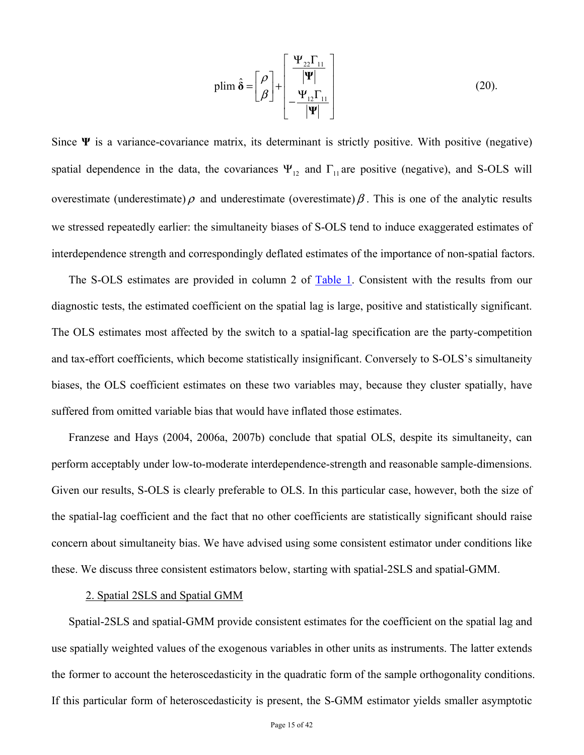$$
\text{plim}\,\hat{\mathbf{\delta}} = \begin{bmatrix} \rho \\ \beta \end{bmatrix} + \begin{bmatrix} \frac{\Psi_{22}\Gamma_{11}}{|\Psi|} \\ -\frac{\Psi_{12}\Gamma_{11}}{|\Psi|} \end{bmatrix} \tag{20}
$$

Since  $\Psi$  is a variance-covariance matrix, its determinant is strictly positive. With positive (negative) spatial dependence in the data, the covariances  $\Psi_{12}$  and  $\Gamma_{11}$  are positive (negative), and S-OLS will overestimate (underestimate)  $\rho$  and underestimate (overestimate)  $\beta$ . This is one of the analytic results we stressed repeatedly earlier: the simultaneity biases of S-OLS tend to induce exaggerated estimates of interdependence strength and correspondingly deflated estimates of the importance of non-spatial factors.

The S-OLS estimates are provided in column 2 of Table 1. Consistent with the results from our diagnostic tests, the estimated coefficient on the spatial lag is large, positive and statistically significant. The OLS estimates most affected by the switch to a spatial-lag specification are the party-competition and tax-effort coefficients, which become statistically insignificant. Conversely to S-OLS's simultaneity biases, the OLS coefficient estimates on these two variables may, because they cluster spatially, have suffered from omitted variable bias that would have inflated those estimates.

Franzese and Hays (2004, 2006a, 2007b) conclude that spatial OLS, despite its simultaneity, can perform acceptably under low-to-moderate interdependence-strength and reasonable sample-dimensions. Given our results, S-OLS is clearly preferable to OLS. In this particular case, however, both the size of the spatial-lag coefficient and the fact that no other coefficients are statistically significant should raise concern about simultaneity bias. We have advised using some consistent estimator under conditions like these. We discuss three consistent estimators below, starting with spatial-2SLS and spatial-GMM.

#### 2. Spatial 2SLS and Spatial GMM

Spatial-2SLS and spatial-GMM provide consistent estimates for the coefficient on the spatial lag and use spatially weighted values of the exogenous variables in other units as instruments. The latter extends the former to account the heteroscedasticity in the quadratic form of the sample orthogonality conditions. If this particular form of heteroscedasticity is present, the S-GMM estimator yields smaller asymptotic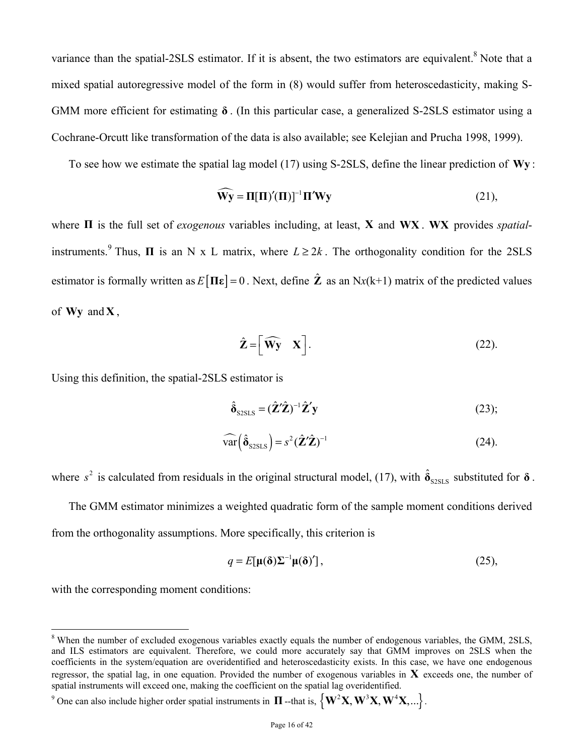variance than the spatial-2SLS estimator. If it is absent, the two estimators are equivalent.<sup>8</sup> Note that a mixed spatial autoregressive model of the form in (8) would suffer from heteroscedasticity, making S-GMM more efficient for estimating **δ** . (In this particular case, a generalized S-2SLS estimator using a Cochrane-Orcutt like transformation of the data is also available; see Kelejian and Prucha 1998, 1999).

To see how we estimate the spatial lag model (17) using S-2SLS, define the linear prediction of **Wy** :

$$
\widehat{\mathbf{W}\mathbf{y}} = \mathbf{\Pi}[\mathbf{\Pi}'(\mathbf{\Pi})]^{-1} \mathbf{\Pi}' \mathbf{W}\mathbf{y}
$$
\n(21),

where **Π** is the full set of *exogenous* variables including, at least, **X** and **WX** . **WX** provides *spatial*instruments.<sup>9</sup> Thus, **Π** is an N x L matrix, where  $L \ge 2k$ . The orthogonality condition for the 2SLS estimator is formally written as  $E[\Pi \varepsilon] = 0$ . Next, define  $\hat{\mathbf{Z}}$  as an Nx(k+1) matrix of the predicted values of  $Wv$  and  $X$ ,

$$
\hat{\mathbf{Z}} = \left[ \widehat{\mathbf{W}} \mathbf{y} \quad \mathbf{X} \right]. \tag{22}
$$

Using this definition, the spatial-2SLS estimator is

$$
\hat{\delta}_{\text{SSLS}} = (\hat{\mathbf{Z}}'\hat{\mathbf{Z}})^{-1}\hat{\mathbf{Z}}'\mathbf{y}
$$
 (23);

$$
\widehat{\text{var}}\left(\hat{\delta}_{\text{szsts}}\right) = s^2 \left(\hat{\mathbf{Z}}'\hat{\mathbf{Z}}\right)^{-1} \tag{24}
$$

where  $s^2$  is calculated from residuals in the original structural model, (17), with  $\hat{\delta}_{s_2s_1s_2}$  substituted for  $\delta$ .

The GMM estimator minimizes a weighted quadratic form of the sample moment conditions derived from the orthogonality assumptions. More specifically, this criterion is

$$
q = E[\mu(\delta)\Sigma^{-1}\mu(\delta)'], \qquad (25),
$$

with the corresponding moment conditions:

 $\overline{a}$ 

<sup>9</sup> One can also include higher order spatial instruments in **Π** --that is,  $\left\{ \mathbf{W}^2 \mathbf{X}, \mathbf{W}^3 \mathbf{X}, \mathbf{W}^4 \mathbf{X}, ...\right\}$ .

<sup>&</sup>lt;sup>8</sup> When the number of excluded exogenous variables exactly equals the number of endogenous variables, the GMM, 2SLS, and ILS estimators are equivalent. Therefore, we could more accurately say that GMM improves on 2SLS when the coefficients in the system/equation are overidentified and heteroscedasticity exists. In this case, we have one endogenous regressor, the spatial lag, in one equation. Provided the number of exogenous variables in **X** exceeds one, the number of spatial instruments will exceed one, making the coefficient on the spatial lag overidentified.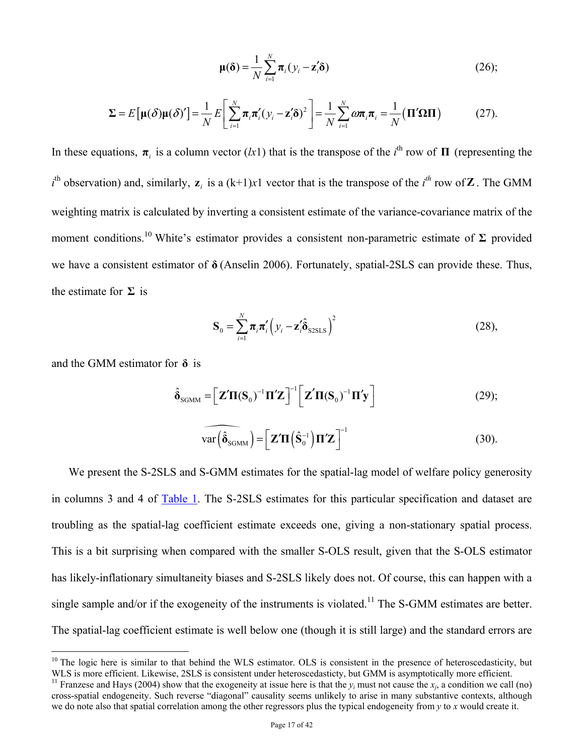$$
\mu(\delta) = \frac{1}{N} \sum_{i=1}^{N} \pi_i (y_i - \mathbf{z}'_i \delta)
$$
 (26);

$$
\Sigma = E\big[\mu(\delta)\mu(\delta)'\big] = \frac{1}{N} E\bigg[\sum_{i=1}^{N} \pi_i \pi_i' (y_i - \mathbf{z}_i' \delta)^2\bigg] = \frac{1}{N} \sum_{i=1}^{N} \omega \pi_i \pi_i = \frac{1}{N} \big(\Pi' \Omega \Pi\big)
$$
(27).

In these equations,  $\pi$ <sub>*i*</sub> is a column vector (*lx*1) that is the transpose of the *i*<sup>th</sup> row of **Π** (representing the  $i^{\text{th}}$  observation) and, similarly,  $z_i$  is a  $(k+1)x$ 1 vector that is the transpose of the  $i^{\text{th}}$  row of **Z**. The GMM weighting matrix is calculated by inverting a consistent estimate of the variance-covariance matrix of the moment conditions.<sup>10</sup> White's estimator provides a consistent non-parametric estimate of Σ provided we have a consistent estimator of **δ** (Anselin 2006). Fortunately, spatial-2SLS can provide these. Thus, the estimate for **Σ** is

$$
\mathbf{S}_0 = \sum_{i=1}^N \boldsymbol{\pi}_i \boldsymbol{\pi}_i' \left( y_i - \mathbf{z}_i' \hat{\boldsymbol{\delta}}_{\text{SSLS}} \right)^2 \tag{28}
$$

and the GMM estimator for **δ** is

1

$$
\hat{\delta}_{\text{SGMM}} = \left[ \mathbf{Z}' \mathbf{\Pi}(\mathbf{S}_0)^{-1} \mathbf{\Pi}' \mathbf{Z} \right]^{-1} \left[ \mathbf{Z}' \mathbf{\Pi}(\mathbf{S}_0)^{-1} \mathbf{\Pi}' \mathbf{y} \right] \tag{29};
$$

$$
\widehat{\text{var}\left(\hat{\boldsymbol{\delta}}_{\text{SGMM}}\right)} = \left[\mathbf{Z}'\mathbf{\Pi}\left(\hat{\mathbf{S}}_0^{-1}\right)\mathbf{\Pi}'\mathbf{Z}\right]^{-1} \tag{30}.
$$

We present the S-2SLS and S-GMM estimates for the spatial-lag model of welfare policy generosity in columns 3 and 4 of Table 1. The S-2SLS estimates for this particular specification and dataset are troubling as the spatial-lag coefficient estimate exceeds one, giving a non-stationary spatial process. This is a bit surprising when compared with the smaller S-OLS result, given that the S-OLS estimator has likely-inflationary simultaneity biases and S-2SLS likely does not. Of course, this can happen with a single sample and/or if the exogeneity of the instruments is violated.<sup>11</sup> The S-GMM estimates are better. The spatial-lag coefficient estimate is well below one (though it is still large) and the standard errors are

 $10$  The logic here is similar to that behind the WLS estimator. OLS is consistent in the presence of heteroscedasticity, but WLS is more efficient. Likewise, 2SLS is consistent under heteroscedasticty, but GMM is asymptotically more efficient.<br><sup>11</sup> Franzese and Hays (2004) show that the exogeneity at issue here is that the  $y_i$  must not cause t

cross-spatial endogeneity. Such reverse "diagonal" causality seems unlikely to arise in many substantive contexts, although we do note also that spatial correlation among the other regressors plus the typical endogeneity from *y* to *x* would create it.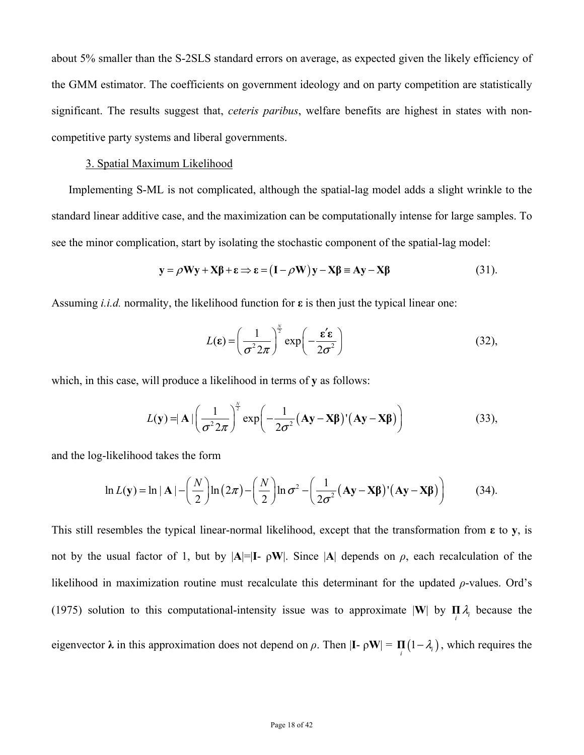about 5% smaller than the S-2SLS standard errors on average, as expected given the likely efficiency of the GMM estimator. The coefficients on government ideology and on party competition are statistically significant. The results suggest that, *ceteris paribus*, welfare benefits are highest in states with noncompetitive party systems and liberal governments.

## 3. Spatial Maximum Likelihood

Implementing S-ML is not complicated, although the spatial-lag model adds a slight wrinkle to the standard linear additive case, and the maximization can be computationally intense for large samples. To see the minor complication, start by isolating the stochastic component of the spatial-lag model:

$$
y = \rho Wy + X\beta + \varepsilon \Rightarrow \varepsilon = (I - \rho W)y - X\beta \equiv Ay - X\beta \tag{31}.
$$

Assuming *i.i.d.* normality, the likelihood function for **ε** is then just the typical linear one:

$$
L(\mathbf{\varepsilon}) = \left(\frac{1}{\sigma^2 2\pi}\right)^{\frac{N}{2}} \exp\left(-\frac{\mathbf{\varepsilon}' \mathbf{\varepsilon}}{2\sigma^2}\right)
$$
(32),

which, in this case, will produce a likelihood in terms of **y** as follows:

$$
L(\mathbf{y}) = |\mathbf{A}| \left( \frac{1}{\sigma^2 2\pi} \right)^{\frac{N}{2}} \exp \left( -\frac{1}{2\sigma^2} (\mathbf{A}\mathbf{y} - \mathbf{X}\boldsymbol{\beta})' (\mathbf{A}\mathbf{y} - \mathbf{X}\boldsymbol{\beta}) \right)
$$
(33),

and the log-likelihood takes the form

$$
\ln L(\mathbf{y}) = \ln |\mathbf{A}| - \left(\frac{N}{2}\right) \ln \left(2\pi\right) - \left(\frac{N}{2}\right) \ln \sigma^2 - \left(\frac{1}{2\sigma^2} (\mathbf{A}\mathbf{y} - \mathbf{X}\boldsymbol{\beta})' (\mathbf{A}\mathbf{y} - \mathbf{X}\boldsymbol{\beta})\right) \tag{34}.
$$

This still resembles the typical linear-normal likelihood, except that the transformation from **ε** to **y**, is not by the usual factor of 1, but by  $|A|=|I-\rho W|$ . Since  $|A|$  depends on  $\rho$ , each recalculation of the likelihood in maximization routine must recalculate this determinant for the updated *ρ*-values. Ord's (1975) solution to this computational-intensity issue was to approximate  $|\mathbf{W}|$  by  $\prod_i \lambda_i$  because the eigenvector  $\lambda$  in this approximation does not depend on  $\rho$ . Then  $|\mathbf{I} - \rho \mathbf{W}| = \prod_i (1 - \lambda_i)$ , which requires the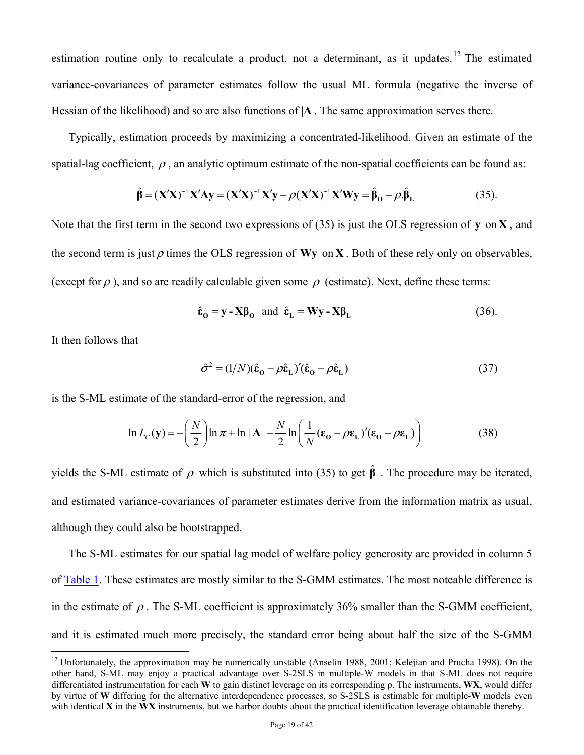estimation routine only to recalculate a product, not a determinant, as it updates.<sup>12</sup> The estimated variance-covariances of parameter estimates follow the usual ML formula (negative the inverse of Hessian of the likelihood) and so are also functions of |**A**|. The same approximation serves there.

Typically, estimation proceeds by maximizing a concentrated-likelihood. Given an estimate of the spatial-lag coefficient,  $\rho$ , an analytic optimum estimate of the non-spatial coefficients can be found as:

$$
\hat{\beta} = (\mathbf{X}'\mathbf{X})^{-1}\mathbf{X}'\mathbf{A}\mathbf{y} = (\mathbf{X}'\mathbf{X})^{-1}\mathbf{X}'\mathbf{y} - \rho(\mathbf{X}'\mathbf{X})^{-1}\mathbf{X}'\mathbf{W}\mathbf{y} = \hat{\beta}_0 - \rho.\hat{\beta}_L
$$
\n(35).

Note that the first term in the second two expressions of (35) is just the OLS regression of **y** on **X** , and the second term is just  $\rho$  times the OLS regression of **Wy** on **X**. Both of these rely only on observables, (except for  $\rho$ ), and so are readily calculable given some  $\rho$  (estimate). Next, define these terms:

$$
\hat{\varepsilon}_0 = \mathbf{y} - \mathbf{X}\boldsymbol{\beta}_0 \quad \text{and} \quad \hat{\varepsilon}_L = \mathbf{W}\mathbf{y} - \mathbf{X}\boldsymbol{\beta}_L \tag{36}
$$

It then follows that

 $\overline{a}$ 

$$
\hat{\sigma}^2 = (1/N)(\hat{\mathbf{\varepsilon}}_0 - \rho \hat{\mathbf{\varepsilon}}_L)'(\hat{\mathbf{\varepsilon}}_0 - \rho \hat{\mathbf{\varepsilon}}_L)
$$
(37)

is the S-ML estimate of the standard-error of the regression, and

$$
\ln L_C(\mathbf{y}) = -\left(\frac{N}{2}\right) \ln \pi + \ln |\mathbf{A}| - \frac{N}{2} \ln \left(\frac{1}{N} (\varepsilon_0 - \rho \varepsilon_1)' (\varepsilon_0 - \rho \varepsilon_1) \right)
$$
(38)

yields the S-ML estimate of  $\rho$  which is substituted into (35) to get  $\hat{\beta}$ . The procedure may be iterated, and estimated variance-covariances of parameter estimates derive from the information matrix as usual, although they could also be bootstrapped.

The S-ML estimates for our spatial lag model of welfare policy generosity are provided in column 5 of Table 1. These estimates are mostly similar to the S-GMM estimates. The most noteable difference is in the estimate of  $\rho$ . The S-ML coefficient is approximately 36% smaller than the S-GMM coefficient, and it is estimated much more precisely, the standard error being about half the size of the S-GMM

<sup>&</sup>lt;sup>12</sup> Unfortunately, the approximation may be numerically unstable (Anselin 1988, 2001; Kelejian and Prucha 1998). On the other hand, S-ML may enjoy a practical advantage over S-2SLS in multiple-W models in that S-ML does not require differentiated instrumentation for each **W** to gain distinct leverage on its corresponding ρ. The instruments, **WX**, would differ by virtue of **W** differing for the alternative interdependence processes, so S-2SLS is estimable for multiple-**W** models even with identical **X** in the **WX** instruments, but we harbor doubts about the practical identification leverage obtainable thereby.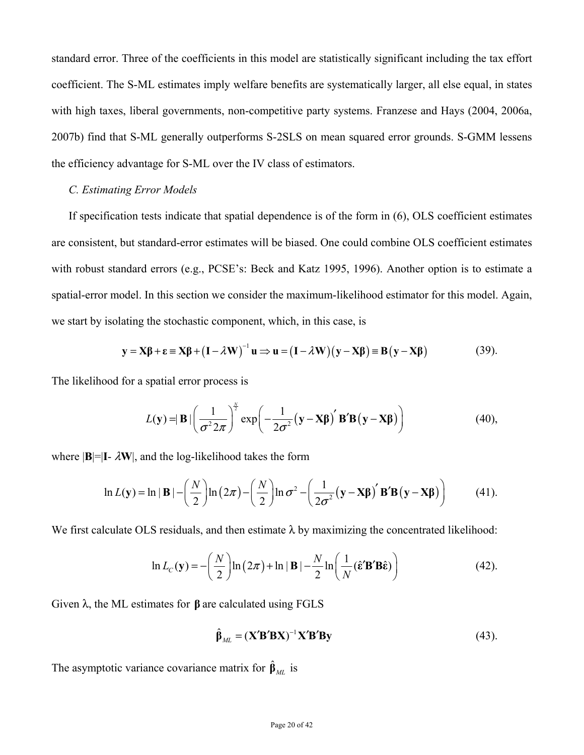standard error. Three of the coefficients in this model are statistically significant including the tax effort coefficient. The S-ML estimates imply welfare benefits are systematically larger, all else equal, in states with high taxes, liberal governments, non-competitive party systems. Franzese and Hays (2004, 2006a, 2007b) find that S-ML generally outperforms S-2SLS on mean squared error grounds. S-GMM lessens the efficiency advantage for S-ML over the IV class of estimators.

## *C. Estimating Error Models*

If specification tests indicate that spatial dependence is of the form in (6), OLS coefficient estimates are consistent, but standard-error estimates will be biased. One could combine OLS coefficient estimates with robust standard errors (e.g., PCSE's: Beck and Katz 1995, 1996). Another option is to estimate a spatial-error model. In this section we consider the maximum-likelihood estimator for this model. Again, we start by isolating the stochastic component, which, in this case, is

$$
\mathbf{y} = \mathbf{X}\boldsymbol{\beta} + \boldsymbol{\epsilon} \equiv \mathbf{X}\boldsymbol{\beta} + (\mathbf{I} - \lambda \mathbf{W})^{-1} \mathbf{u} \Longrightarrow \mathbf{u} = (\mathbf{I} - \lambda \mathbf{W})(\mathbf{y} - \mathbf{X}\boldsymbol{\beta}) \equiv \mathbf{B}(\mathbf{y} - \mathbf{X}\boldsymbol{\beta})
$$
(39).

The likelihood for a spatial error process is

$$
L(\mathbf{y}) = |\mathbf{B}| \left( \frac{1}{\sigma^2 2\pi} \right)^{\frac{N}{2}} \exp \left( -\frac{1}{2\sigma^2} (\mathbf{y} - \mathbf{X}\boldsymbol{\beta})' \mathbf{B}' \mathbf{B} (\mathbf{y} - \mathbf{X}\boldsymbol{\beta}) \right)
$$
(40),

where  $|\mathbf{B}| = |\mathbf{I} - \lambda \mathbf{W}|$ , and the log-likelihood takes the form

$$
\ln L(\mathbf{y}) = \ln |\mathbf{B}| - \left(\frac{N}{2}\right) \ln (2\pi) - \left(\frac{N}{2}\right) \ln \sigma^2 - \left(\frac{1}{2\sigma^2} (\mathbf{y} - \mathbf{X}\boldsymbol{\beta})' \mathbf{B}' \mathbf{B} (\mathbf{y} - \mathbf{X}\boldsymbol{\beta})\right)
$$
(41).

We first calculate OLS residuals, and then estimate  $\lambda$  by maximizing the concentrated likelihood:

$$
\ln L_C(\mathbf{y}) = -\left(\frac{N}{2}\right) \ln\left(2\pi\right) + \ln|\mathbf{B}| - \frac{N}{2} \ln\left(\frac{1}{N} (\hat{\mathbf{\varepsilon}}' \mathbf{B}' \mathbf{B} \hat{\mathbf{\varepsilon}})\right) \tag{42}
$$

Given λ, the ML estimates for **β** are calculated using FGLS

$$
\hat{\beta}_{ML} = (\mathbf{X}'\mathbf{B}'\mathbf{B}\mathbf{X})^{-1}\mathbf{X}'\mathbf{B}'\mathbf{B}\mathbf{y}
$$
 (43).

The asymptotic variance covariance matrix for  $\hat{\beta}_{ML}$  is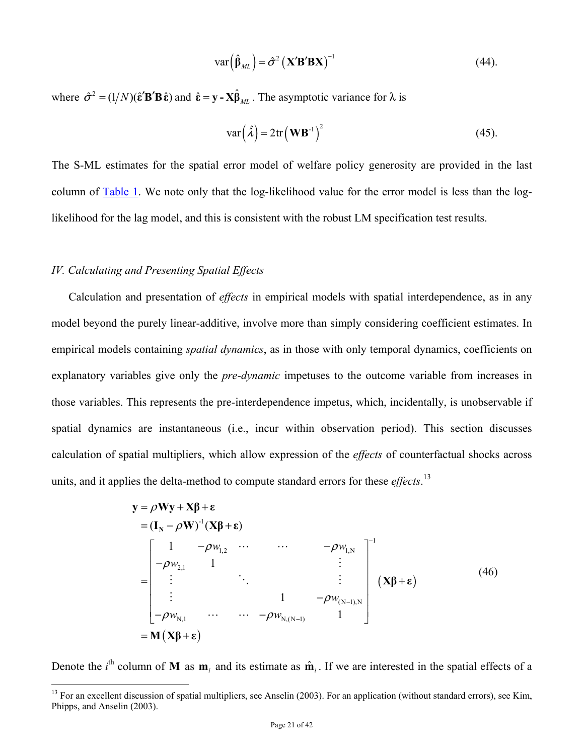$$
\text{var}\left(\hat{\beta}_{ML}\right) = \hat{\sigma}^2 \left(\mathbf{X}' \mathbf{B}' \mathbf{B} \mathbf{X}\right)^{-1} \tag{44}
$$

where  $\hat{\sigma}^2 = (1/N)(\hat{\epsilon}'\mathbf{B}'\mathbf{B}\hat{\epsilon})$  and  $\hat{\epsilon} = \mathbf{y} - \mathbf{X}\hat{\beta}_{ML}$ . The asymptotic variance for  $\lambda$  is

$$
var(\hat{\lambda}) = 2tr(\mathbf{W}\mathbf{B}^{-1})^2
$$
 (45).

The S-ML estimates for the spatial error model of welfare policy generosity are provided in the last column of Table 1. We note only that the log-likelihood value for the error model is less than the loglikelihood for the lag model, and this is consistent with the robust LM specification test results.

## *IV. Calculating and Presenting Spatial Effects*

1

Calculation and presentation of *effects* in empirical models with spatial interdependence, as in any model beyond the purely linear-additive, involve more than simply considering coefficient estimates. In empirical models containing *spatial dynamics*, as in those with only temporal dynamics, coefficients on explanatory variables give only the *pre-dynamic* impetuses to the outcome variable from increases in those variables. This represents the pre-interdependence impetus, which, incidentally, is unobservable if spatial dynamics are instantaneous (i.e., incur within observation period). This section discusses calculation of spatial multipliers, which allow expression of the *effects* of counterfactual shocks across units, and it applies the delta-method to compute standard errors for these *effects*. 13

$$
\mathbf{y} = \rho \mathbf{W} \mathbf{y} + \mathbf{X} \boldsymbol{\beta} + \boldsymbol{\epsilon}
$$
\n
$$
= (\mathbf{I}_{N} - \rho \mathbf{W})^{-1} (\mathbf{X} \boldsymbol{\beta} + \boldsymbol{\epsilon})
$$
\n
$$
= \begin{bmatrix}\n1 & -\rho w_{1,2} & \cdots & \cdots & -\rho w_{1,N} \\
-\rho w_{2,1} & 1 & & \vdots \\
\vdots & \ddots & & \vdots \\
-\rho w_{N,1} & \cdots & \cdots & -\rho w_{N,(N-1)} & 1\n\end{bmatrix}^{-1}
$$
\n
$$
= \mathbf{M} (\mathbf{X} \boldsymbol{\beta} + \boldsymbol{\epsilon})
$$
\n(46)\n
$$
= \mathbf{M} (\mathbf{X} \boldsymbol{\beta} + \boldsymbol{\epsilon})
$$

Denote the *i*<sup>th</sup> column of **M** as  $\mathbf{m}_i$  and its estimate as  $\hat{\mathbf{m}}_i$ . If we are interested in the spatial effects of a

<sup>&</sup>lt;sup>13</sup> For an excellent discussion of spatial multipliers, see Anselin (2003). For an application (without standard errors), see Kim, Phipps, and Anselin (2003).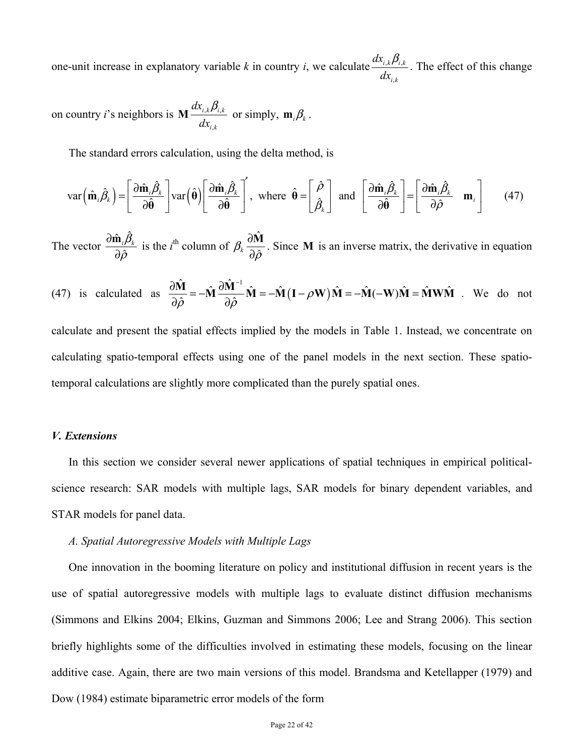one-unit increase in explanatory variable k in country *i*, we calculate  $\frac{dx_{i,k}p_{i,k}}{l}$ ,  $i,k$  $\boldsymbol{\nu}_{i,k}$ *i k dx dx*  $\frac{\beta_{i,k}}{k}$ . The effect of this change

on country *i*'s neighbors is  $M \frac{dx_{i,k}p_{i,k}}{l}$ ,  $i,k$  $\boldsymbol{\nu}_{i,k}$ *i k dx*  $\mathbf{M} \frac{dx_{i,k} \beta_{i,k}}{dx_{i,k}}$  or simply,  $\mathbf{m}_i \beta_k$ .

The standard errors calculation, using the delta method, is

$$
\text{var}\left(\hat{\mathbf{m}}_{i}\hat{\beta}_{k}\right) = \left[\frac{\partial \hat{\mathbf{m}}_{i}\hat{\beta}_{k}}{\partial \hat{\theta}}\right] \text{var}\left(\hat{\theta}\right) \left[\frac{\partial \hat{\mathbf{m}}_{i}\hat{\beta}_{k}}{\partial \hat{\theta}}\right], \text{ where } \hat{\theta} = \left[\frac{\hat{\rho}}{\hat{\beta}_{k}}\right] \text{ and } \left[\frac{\partial \hat{\mathbf{m}}_{i}\hat{\beta}_{k}}{\partial \hat{\theta}}\right] = \left[\frac{\partial \hat{\mathbf{m}}_{i}\hat{\beta}_{k}}{\partial \hat{\rho}} \quad \mathbf{m}_{i}\right] \tag{47}
$$

The vector  $\frac{\partial \hat{\mathbf{m}}_i \hat{\beta}}{\partial \hat{\mathbf{n}}}$ ˆ  $_{i} \beta _{_{k}}$ ρ ∂ ∂  $\frac{\hat{\mathbf{m}}_i \hat{\beta}_k}{\sum_{k=1}^{N} S_k}$  is the *i*<sup>th</sup> column of  $\beta_k \frac{\partial \hat{W}_k}{\partial \hat{\beta}_k}$  $\beta_k \frac{\partial \Omega}{\partial \hat{\rho}}$ ∂ ∂ **M** . Since **M** is an inverse matrix, the derivative in equation

(47) is calculated as 
$$
\frac{\partial \hat{M}}{\partial \hat{\rho}} = -\hat{M} \frac{\partial \hat{M}^{-1}}{\partial \hat{\rho}} \hat{M} = -\hat{M} (I - \rho W) \hat{M} = -\hat{M} (-W) \hat{M} = \hat{M} W \hat{M}
$$
. We do not

calculate and present the spatial effects implied by the models in Table 1. Instead, we concentrate on calculating spatio-temporal effects using one of the panel models in the next section. These spatiotemporal calculations are slightly more complicated than the purely spatial ones.

#### *V. Extensions*

In this section we consider several newer applications of spatial techniques in empirical politicalscience research: SAR models with multiple lags, SAR models for binary dependent variables, and STAR models for panel data.

### *A. Spatial Autoregressive Models with Multiple Lags*

One innovation in the booming literature on policy and institutional diffusion in recent years is the use of spatial autoregressive models with multiple lags to evaluate distinct diffusion mechanisms (Simmons and Elkins 2004; Elkins, Guzman and Simmons 2006; Lee and Strang 2006). This section briefly highlights some of the difficulties involved in estimating these models, focusing on the linear additive case. Again, there are two main versions of this model. Brandsma and Ketellapper (1979) and Dow (1984) estimate biparametric error models of the form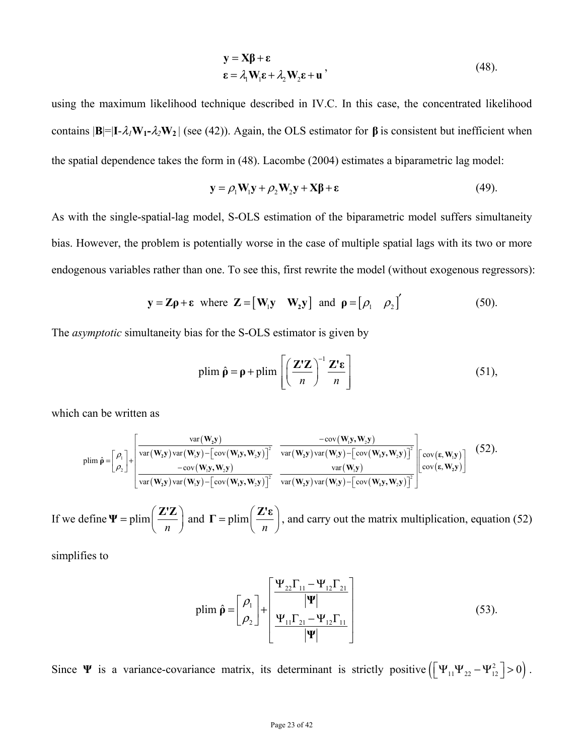$$
\mathbf{y} = \mathbf{X}\boldsymbol{\beta} + \boldsymbol{\epsilon}
$$
  
\n
$$
\boldsymbol{\epsilon} = \lambda_1 \mathbf{W}_1 \boldsymbol{\epsilon} + \lambda_2 \mathbf{W}_2 \boldsymbol{\epsilon} + \mathbf{u'}
$$
 (48).

using the maximum likelihood technique described in IV.C. In this case, the concentrated likelihood contains  $|\mathbf{B}| = |\mathbf{I} - \lambda_1 \mathbf{W}_1 - \lambda_2 \mathbf{W}_2|$  (see (42)). Again, the OLS estimator for  $\beta$  is consistent but inefficient when the spatial dependence takes the form in (48). Lacombe (2004) estimates a biparametric lag model:

$$
\mathbf{y} = \rho_1 \mathbf{W}_1 \mathbf{y} + \rho_2 \mathbf{W}_2 \mathbf{y} + \mathbf{X} \boldsymbol{\beta} + \boldsymbol{\epsilon}
$$
 (49).

As with the single-spatial-lag model, S-OLS estimation of the biparametric model suffers simultaneity bias. However, the problem is potentially worse in the case of multiple spatial lags with its two or more endogenous variables rather than one. To see this, first rewrite the model (without exogenous regressors):

$$
\mathbf{y} = \mathbf{Z}\mathbf{\rho} + \mathbf{\varepsilon} \text{ where } \mathbf{Z} = [\mathbf{W}_1 \mathbf{y} \quad \mathbf{W}_2 \mathbf{y}] \text{ and } \mathbf{\rho} = [\rho_1 \quad \rho_2]'
$$
 (50).

The *asymptotic* simultaneity bias for the S-OLS estimator is given by

$$
\text{plim } \hat{\rho} = \rho + \text{plim} \left[ \left( \frac{\mathbf{Z}' \mathbf{Z}}{n} \right)^{-1} \frac{\mathbf{Z}' \mathbf{\varepsilon}}{n} \right] \tag{51},
$$

which can be written as

$$
\text{plim } \hat{\rho} = \begin{bmatrix} \rho_1 \\ \rho_2 \end{bmatrix} + \begin{bmatrix} \text{var}(\mathbf{W}_2 \mathbf{y}) & -\text{cov}(\mathbf{W}_1 \mathbf{y}, \mathbf{W}_2 \mathbf{y}) \\ \text{var}(\mathbf{W}_2 \mathbf{y}) & \text{var}(\mathbf{W}_1 \mathbf{y}) - \begin{bmatrix} \text{cov}(\mathbf{W}_1 \mathbf{y}, \mathbf{W}_2 \mathbf{y}) \end{bmatrix}^2 & \text{var}(\mathbf{W}_2 \mathbf{y}) & \text{var}(\mathbf{W}_1 \mathbf{y}) - \begin{bmatrix} \text{cov}(\mathbf{w}_1 \mathbf{y}, \mathbf{W}_2 \mathbf{y}) \end{bmatrix}^2 \\ \text{var}(\mathbf{W}_2 \mathbf{y}) & \text{var}(\mathbf{W}_1 \mathbf{y}) - \begin{bmatrix} \text{cov}(\mathbf{W}_1 \mathbf{y}, \mathbf{W}_2 \mathbf{y}) \end{bmatrix}^2 & \text{var}(\mathbf{W}_1 \mathbf{y}) - \begin{bmatrix} \text{cov}(\mathbf{w}_1 \mathbf{y}, \mathbf{W}_2 \mathbf{y}) \end{bmatrix}^2 \\ \text{var}(\mathbf{W}_2 \mathbf{y}) & \text{var}(\mathbf{W}_1 \mathbf{y}) - \begin{bmatrix} \text{cov}(\mathbf{W}_1 \mathbf{y}, \mathbf{W}_2 \mathbf{y}) \end{bmatrix}^2 & \text{var}(\mathbf{W}_2 \mathbf{y}) & \text{var}(\mathbf{W}_2 \mathbf{y}) - \begin{bmatrix} \text{cov}(\mathbf{w}_1 \mathbf{y}, \mathbf{W}_2 \mathbf{y}) \end{bmatrix}^2 \end{bmatrix} \tag{52}
$$

If we define  $\Psi = \text{plim}$  $\Psi = \text{plim}\left(\frac{\mathbf{Z}'\mathbf{Z}}{n}\right)$  and  $\Gamma = \text{plim}\left(\frac{\mathbf{Z}'\mathbf{Z}}{n}\right)$  $\Gamma = \text{plim}\left(\frac{\mathbf{Z}'\mathbf{\epsilon}}{n}\right)$ , and carry out the matrix multiplication, equation (52)

simplifies to

$$
\text{plim}\,\hat{\mathbf{p}} = \begin{bmatrix} \rho_1 \\ \rho_2 \end{bmatrix} + \begin{bmatrix} \frac{\Psi_{22}\Gamma_{11} - \Psi_{12}\Gamma_{21}}{|\Psi|} \\ \frac{\Psi_{11}\Gamma_{21} - \Psi_{12}\Gamma_{11}}{|\Psi|} \end{bmatrix} \tag{53}
$$

Since **Ψ** is a variance-covariance matrix, its determinant is strictly positive  $([\Psi_{11}\Psi_{22} - \Psi_{12}^2] > 0)$ .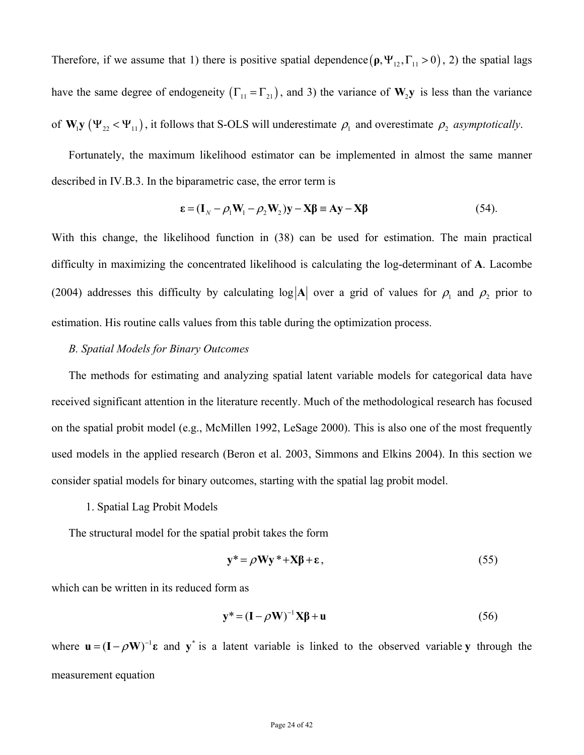Therefore, if we assume that 1) there is positive spatial dependence  $(\rho, \Psi_{12}, \Gamma_{11} > 0)$ , 2) the spatial lags have the same degree of endogeneity  $(\Gamma_{11} = \Gamma_{21})$ , and 3) the variance of  $W_2y$  is less than the variance of  $W_1y (\Psi_{22} < \Psi_{11})$ , it follows that S-OLS will underestimate  $\rho_1$  and overestimate  $\rho_2$  *asymptotically*.

Fortunately, the maximum likelihood estimator can be implemented in almost the same manner described in IV.B.3. In the biparametric case, the error term is

$$
\varepsilon = (\mathbf{I}_N - \rho_1 \mathbf{W}_1 - \rho_2 \mathbf{W}_2) \mathbf{y} - \mathbf{X} \boldsymbol{\beta} \equiv \mathbf{A} \mathbf{y} - \mathbf{X} \boldsymbol{\beta}
$$
(54).

With this change, the likelihood function in (38) can be used for estimation. The main practical difficulty in maximizing the concentrated likelihood is calculating the log-determinant of **A**. Lacombe (2004) addresses this difficulty by calculating  $log|A|$  over a grid of values for  $\rho_1$  and  $\rho_2$  prior to estimation. His routine calls values from this table during the optimization process.

### *B. Spatial Models for Binary Outcomes*

The methods for estimating and analyzing spatial latent variable models for categorical data have received significant attention in the literature recently. Much of the methodological research has focused on the spatial probit model (e.g., McMillen 1992, LeSage 2000). This is also one of the most frequently used models in the applied research (Beron et al. 2003, Simmons and Elkins 2004). In this section we consider spatial models for binary outcomes, starting with the spatial lag probit model.

1. Spatial Lag Probit Models

The structural model for the spatial probit takes the form

$$
y^* = \rho Wy^* + X\beta + \varepsilon, \tag{55}
$$

which can be written in its reduced form as

$$
\mathbf{y}^* = (\mathbf{I} - \rho \mathbf{W})^{-1} \mathbf{X} \boldsymbol{\beta} + \mathbf{u}
$$
 (56)

where  $\mathbf{u} = (\mathbf{I} - \rho \mathbf{W})^{-1} \mathbf{\varepsilon}$  and  $\mathbf{y}^*$  is a latent variable is linked to the observed variable **y** through the measurement equation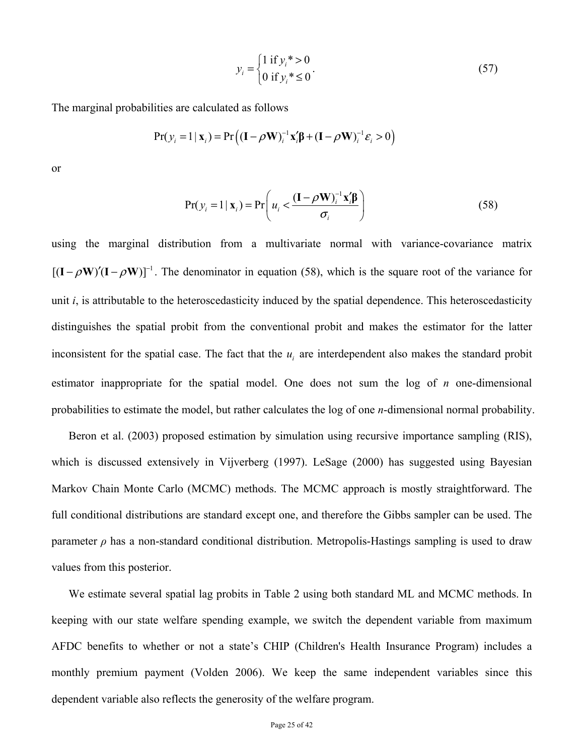$$
y_i = \begin{cases} 1 \text{ if } y_i^* > 0 \\ 0 \text{ if } y_i^* \le 0 \end{cases}
$$
 (57)

The marginal probabilities are calculated as follows

$$
Pr(y_i = 1 | \mathbf{x}_i) = Pr((\mathbf{I} - \rho \mathbf{W})_i^{-1} \mathbf{x}_i' \mathbf{\beta} + (\mathbf{I} - \rho \mathbf{W})_i^{-1} \mathbf{\varepsilon}_i > 0)
$$

or

$$
Pr(y_i = 1 | \mathbf{x}_i) = Pr\left(u_i < \frac{(\mathbf{I} - \rho \mathbf{W})_i^{-1} \mathbf{x}_i' \boldsymbol{\beta}}{\sigma_i}\right)
$$
(58)

using the marginal distribution from a multivariate normal with variance-covariance matrix  $[(I - \rho W)'(I - \rho W)]^{-1}$ . The denominator in equation (58), which is the square root of the variance for unit *i*, is attributable to the heteroscedasticity induced by the spatial dependence. This heteroscedasticity distinguishes the spatial probit from the conventional probit and makes the estimator for the latter inconsistent for the spatial case. The fact that the  $u_i$  are interdependent also makes the standard probit estimator inappropriate for the spatial model. One does not sum the log of *n* one-dimensional probabilities to estimate the model, but rather calculates the log of one *n*-dimensional normal probability.

Beron et al. (2003) proposed estimation by simulation using recursive importance sampling (RIS), which is discussed extensively in Vijverberg (1997). LeSage (2000) has suggested using Bayesian Markov Chain Monte Carlo (MCMC) methods. The MCMC approach is mostly straightforward. The full conditional distributions are standard except one, and therefore the Gibbs sampler can be used. The parameter  $\rho$  has a non-standard conditional distribution. Metropolis-Hastings sampling is used to draw values from this posterior.

We estimate several spatial lag probits in Table 2 using both standard ML and MCMC methods. In keeping with our state welfare spending example, we switch the dependent variable from maximum AFDC benefits to whether or not a state's CHIP (Children's Health Insurance Program) includes a monthly premium payment (Volden 2006). We keep the same independent variables since this dependent variable also reflects the generosity of the welfare program.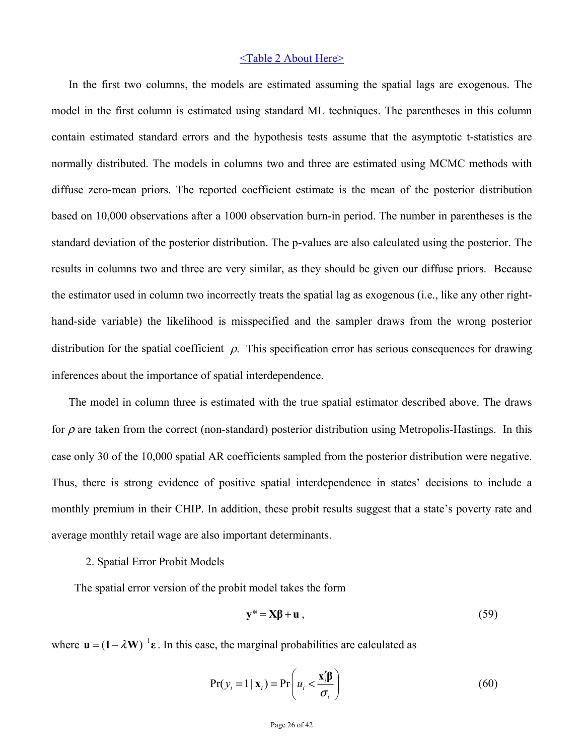### <Table 2 About Here>

In the first two columns, the models are estimated assuming the spatial lags are exogenous. The model in the first column is estimated using standard ML techniques. The parentheses in this column contain estimated standard errors and the hypothesis tests assume that the asymptotic t-statistics are normally distributed. The models in columns two and three are estimated using MCMC methods with diffuse zero-mean priors. The reported coefficient estimate is the mean of the posterior distribution based on 10,000 observations after a 1000 observation burn-in period. The number in parentheses is the standard deviation of the posterior distribution. The p-values are also calculated using the posterior. The results in columns two and three are very similar, as they should be given our diffuse priors. Because the estimator used in column two incorrectly treats the spatial lag as exogenous (i.e., like any other righthand-side variable) the likelihood is misspecified and the sampler draws from the wrong posterior distribution for the spatial coefficient  $\rho$ . This specification error has serious consequences for drawing inferences about the importance of spatial interdependence.

The model in column three is estimated with the true spatial estimator described above. The draws for  $\rho$  are taken from the correct (non-standard) posterior distribution using Metropolis-Hastings. In this case only 30 of the 10,000 spatial AR coefficients sampled from the posterior distribution were negative. Thus, there is strong evidence of positive spatial interdependence in states' decisions to include a monthly premium in their CHIP. In addition, these probit results suggest that a state's poverty rate and average monthly retail wage are also important determinants.

2. Spatial Error Probit Models

The spatial error version of the probit model takes the form

$$
y^* = X\beta + u \tag{59}
$$

where  $\mathbf{u} = (\mathbf{I} - \lambda \mathbf{W})^{-1} \mathbf{\varepsilon}$ . In this case, the marginal probabilities are calculated as

$$
Pr(y_i = 1 | \mathbf{x}_i) = Pr\left(u_i < \frac{\mathbf{x}_i' \mathbf{\beta}}{\sigma_i}\right) \tag{60}
$$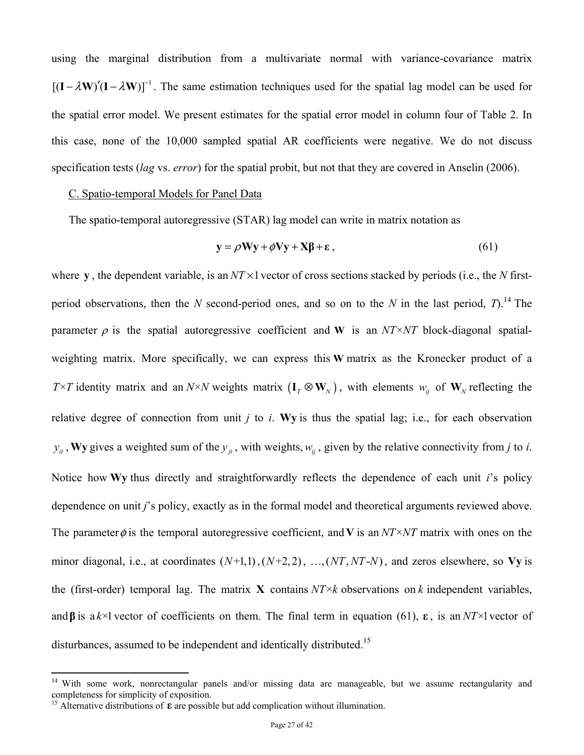using the marginal distribution from a multivariate normal with variance-covariance matrix  $[(I - \lambda W)'(I - \lambda W)]^{-1}$ . The same estimation techniques used for the spatial lag model can be used for the spatial error model. We present estimates for the spatial error model in column four of Table 2. In this case, none of the 10,000 sampled spatial AR coefficients were negative. We do not discuss specification tests (*lag* vs. *error*) for the spatial probit, but not that they are covered in Anselin (2006).

### C. Spatio-temporal Models for Panel Data

The spatio-temporal autoregressive (STAR) lag model can write in matrix notation as

$$
y = \rho Wy + \phi Vy + X\beta + \varepsilon, \qquad (61)
$$

where **y**, the dependent variable, is an  $NT \times 1$  vector of cross sections stacked by periods (i.e., the *N* firstperiod observations, then the *N* second-period ones, and so on to the *N* in the last period, *T*).<sup>14</sup> The parameter  $\rho$  is the spatial autoregressive coefficient and **W** is an *NT* × *NT* block-diagonal spatialweighting matrix. More specifically, we can express this **W** matrix as the Kronecker product of a *T*  $\times$  *T* identity matrix and an *N*×*N* weights matrix  $(I_T \otimes W_N)$ , with elements  $w_{ij}$  of  $W_N$  reflecting the relative degree of connection from unit *j* to *i*. **Wy** is thus the spatial lag; i.e., for each observation  $y_i$ , **Wy** gives a weighted sum of the  $y_i$ , with weights,  $w_i$ , given by the relative connectivity from *j* to *i*. Notice how **Wy** thus directly and straightforwardly reflects the dependence of each unit *i*'s policy dependence on unit *j*'s policy, exactly as in the formal model and theoretical arguments reviewed above. The parameter  $\phi$  is the temporal autoregressive coefficient, and **V** is an *NT* × *NT* matrix with ones on the minor diagonal, i.e., at coordinates  $(N+1,1)$ ,  $(N+2,2)$ , ...,  $(NT, NT-N)$ , and zeros elsewhere, so Vy is the (first-order) temporal lag. The matrix **X** contains  $NT \times k$  observations on k independent variables, and **β** is a  $k \times 1$  vector of coefficients on them. The final term in equation (61), **ε**, is an *NT*×1 vector of disturbances, assumed to be independent and identically distributed.<sup>15</sup>

 $\overline{a}$ 

<sup>&</sup>lt;sup>14</sup> With some work, nonrectangular panels and/or missing data are manageable, but we assume rectangularity and completeness for simplicity of exposition.

<sup>&</sup>lt;sup>15</sup> Alternative distributions of  $\varepsilon$  are possible but add complication without illumination.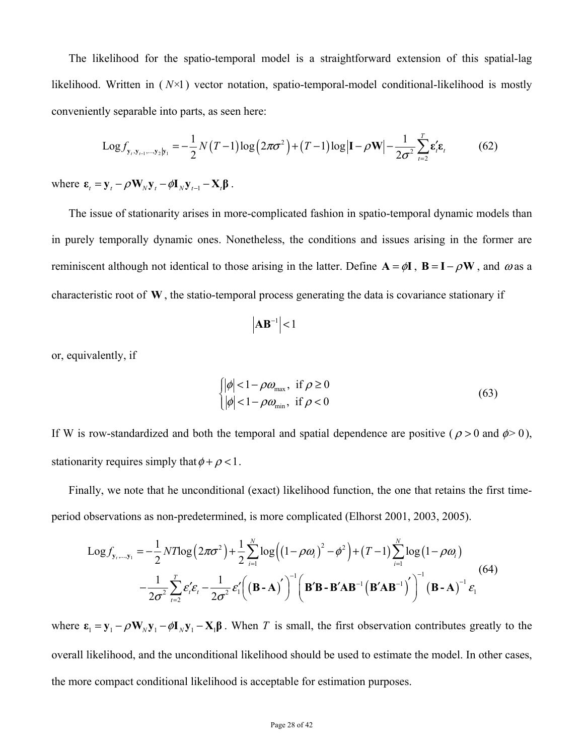The likelihood for the spatio-temporal model is a straightforward extension of this spatial-lag likelihood. Written in ( *N*×1) vector notation, spatio-temporal-model conditional-likelihood is mostly conveniently separable into parts, as seen here:

$$
Log f_{y_t, y_{t-1}, \dots, y_2 | y_1} = -\frac{1}{2} N(T-1) log(2\pi\sigma^2) + (T-1) log|\mathbf{I} - \rho \mathbf{W}| - \frac{1}{2\sigma^2} \sum_{t=2}^T \varepsilon_t' \varepsilon_t
$$
(62)

where  $\mathbf{\varepsilon}_t = \mathbf{y}_t - \rho \mathbf{W}_N \mathbf{y}_t - \phi \mathbf{I}_N \mathbf{y}_{t-1} - \mathbf{X}_t \mathbf{\beta}$ .

The issue of stationarity arises in more-complicated fashion in spatio-temporal dynamic models than in purely temporally dynamic ones. Nonetheless, the conditions and issues arising in the former are reminiscent although not identical to those arising in the latter. Define  $A = \phi I$ ,  $B = I - \rho W$ , and  $\omega$  as a characteristic root of **W** , the statio-temporal process generating the data is covariance stationary if

$$
\left| \mathbf{A} \mathbf{B}^{-1} \right| < 1
$$

or, equivalently, if

$$
\begin{cases} |\phi| < 1 - \rho \omega_{\text{max}}, & \text{if } \rho \ge 0 \\ |\phi| < 1 - \rho \omega_{\text{min}}, & \text{if } \rho < 0 \end{cases}
$$
 (63)

If W is row-standardized and both the temporal and spatial dependence are positive ( $\rho > 0$  and  $\phi > 0$ ), stationarity requires simply that  $\phi + \rho < 1$ .

Finally, we note that he unconditional (exact) likelihood function, the one that retains the first timeperiod observations as non-predetermined, is more complicated (Elhorst 2001, 2003, 2005).

$$
\text{Log} f_{\mathbf{y}_t, \dots, \mathbf{y}_1} = -\frac{1}{2} N T \text{log} \left( 2 \pi \sigma^2 \right) + \frac{1}{2} \sum_{i=1}^N \text{log} \left( \left( 1 - \rho \omega_i \right)^2 - \phi^2 \right) + (T - 1) \sum_{i=1}^N \text{log} \left( 1 - \rho \omega_i \right)
$$
\n
$$
-\frac{1}{2 \sigma^2} \sum_{i=2}^T \varepsilon_i' \varepsilon_i - \frac{1}{2 \sigma^2} \varepsilon_i' \left( \left( \mathbf{B} \cdot \mathbf{A} \right)^{\prime} \right)^{-1} \left( \mathbf{B}^{\prime} \mathbf{B} - \mathbf{B}^{\prime} \mathbf{A} \mathbf{B}^{-1} \left( \mathbf{B}^{\prime} \mathbf{A} \mathbf{B}^{-1} \right)^{\prime} \right)^{-1} \left( \mathbf{B} \cdot \mathbf{A} \right)^{-1} \varepsilon_1 \tag{64}
$$

where  $\mathbf{\varepsilon}_1 = \mathbf{y}_1 - \rho \mathbf{W}_N \mathbf{y}_1 - \rho \mathbf{I}_N \mathbf{y}_1 - \mathbf{X}_1 \boldsymbol{\beta}$ . When *T* is small, the first observation contributes greatly to the overall likelihood, and the unconditional likelihood should be used to estimate the model. In other cases, the more compact conditional likelihood is acceptable for estimation purposes.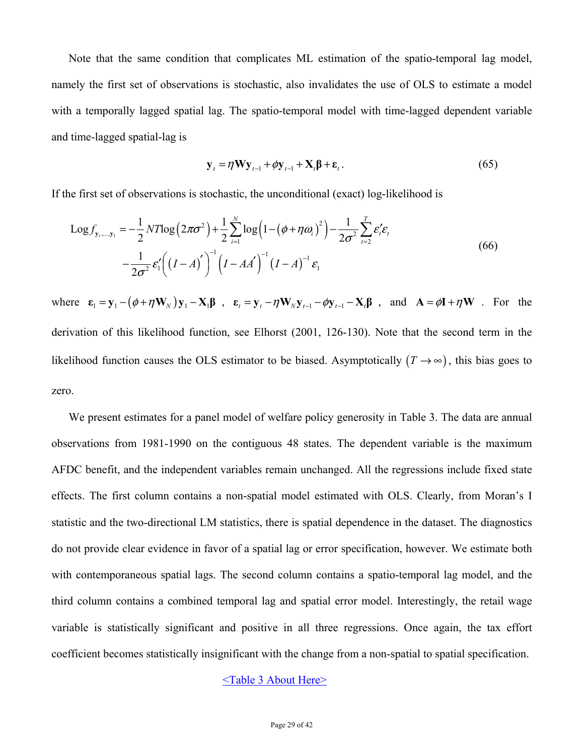Note that the same condition that complicates ML estimation of the spatio-temporal lag model, namely the first set of observations is stochastic, also invalidates the use of OLS to estimate a model with a temporally lagged spatial lag. The spatio-temporal model with time-lagged dependent variable and time-lagged spatial-lag is

$$
\mathbf{y}_{t} = \eta \mathbf{W} \mathbf{y}_{t-1} + \phi \mathbf{y}_{t-1} + \mathbf{X}_{t} \mathbf{\beta} + \mathbf{\varepsilon}_{t}.
$$
 (65)

If the first set of observations is stochastic, the unconditional (exact) log-likelihood is

$$
Log f_{y_{t},...,y_{1}} = -\frac{1}{2}NTlog(2\pi\sigma^{2}) + \frac{1}{2}\sum_{i=1}^{N}log(1-(\phi+\eta\omega_{i})^{2}) - \frac{1}{2\sigma^{2}}\sum_{i=2}^{T}\varepsilon_{i}'\varepsilon_{i}
$$
  

$$
-\frac{1}{2\sigma^{2}}\varepsilon_{1}'((I-A)^{'})^{-1}(I-AA')^{-1}\varepsilon_{1}
$$
(66)

where  $\mathbf{\varepsilon}_1 = \mathbf{y}_1 - (\phi + \eta \mathbf{W}_N) \mathbf{y}_1 - \mathbf{X}_1 \mathbf{\beta}$ ,  $\mathbf{\varepsilon}_t = \mathbf{y}_t - \eta \mathbf{W}_N \mathbf{y}_{t-1} - \phi \mathbf{y}_{t-1} - \mathbf{X}_t \mathbf{\beta}$ , and  $\mathbf{A} = \phi \mathbf{I} + \eta \mathbf{W}$ . For the derivation of this likelihood function, see Elhorst (2001, 126-130). Note that the second term in the likelihood function causes the OLS estimator to be biased. Asymptotically  $(T \rightarrow \infty)$ , this bias goes to zero.

We present estimates for a panel model of welfare policy generosity in Table 3. The data are annual observations from 1981-1990 on the contiguous 48 states. The dependent variable is the maximum AFDC benefit, and the independent variables remain unchanged. All the regressions include fixed state effects. The first column contains a non-spatial model estimated with OLS. Clearly, from Moran's I statistic and the two-directional LM statistics, there is spatial dependence in the dataset. The diagnostics do not provide clear evidence in favor of a spatial lag or error specification, however. We estimate both with contemporaneous spatial lags. The second column contains a spatio-temporal lag model, and the third column contains a combined temporal lag and spatial error model. Interestingly, the retail wage variable is statistically significant and positive in all three regressions. Once again, the tax effort coefficient becomes statistically insignificant with the change from a non-spatial to spatial specification.

## <Table 3 About Here>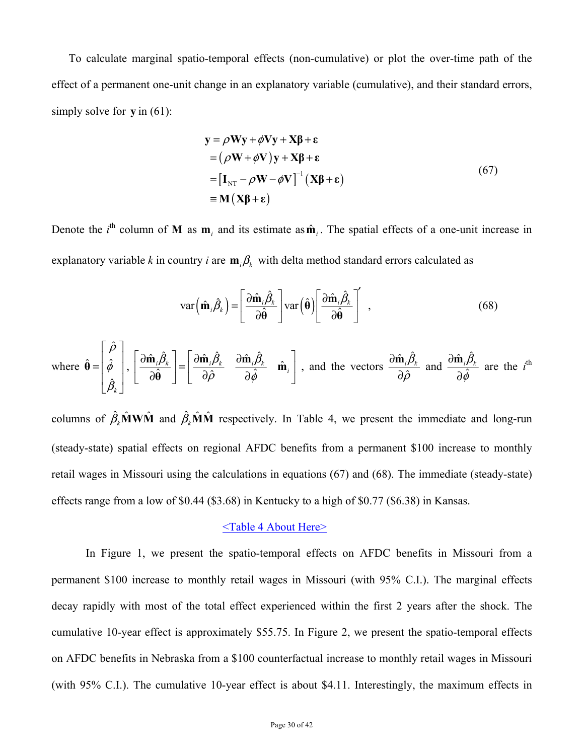To calculate marginal spatio-temporal effects (non-cumulative) or plot the over-time path of the effect of a permanent one-unit change in an explanatory variable (cumulative), and their standard errors, simply solve for **y** in (61):

$$
y = \rho W y + \phi V y + X \beta + \epsilon
$$
  
=  $(\rho W + \phi V) y + X \beta + \epsilon$   
=  $[I_{NT} - \rho W - \phi V]^{-1} (X \beta + \epsilon)$   
=  $M (X \beta + \epsilon)$  (67)  
 $(67)$ 

Denote the *i*<sup>th</sup> column of **M** as  $\mathbf{m}_i$  and its estimate as  $\hat{\mathbf{m}}_i$ . The spatial effects of a one-unit increase in explanatory variable *k* in country *i* are  $\mathbf{m}_i \beta_k$  with delta method standard errors calculated as

$$
\text{var}\left(\hat{\mathbf{m}}_{i}\hat{\beta}_{k}\right) = \left[\frac{\partial \hat{\mathbf{m}}_{i}\hat{\beta}_{k}}{\partial \hat{\mathbf{\theta}}}\right] \text{var}\left(\hat{\mathbf{\theta}}\right) \left[\frac{\partial \hat{\mathbf{m}}_{i}\hat{\beta}_{k}}{\partial \hat{\mathbf{\theta}}}\right],\tag{68}
$$

where 
$$
\hat{\theta} = \begin{bmatrix} \hat{\rho} \\ \hat{\phi} \\ \hat{\beta}_k \end{bmatrix}
$$
,  $\begin{bmatrix} \frac{\partial \hat{\mathbf{m}}_i \hat{\beta}_k}{\partial \hat{\theta}} \end{bmatrix} = \begin{bmatrix} \frac{\partial \hat{\mathbf{m}}_i \hat{\beta}_k}{\partial \hat{\rho}} & \frac{\partial \hat{\mathbf{m}}_i \hat{\beta}_k}{\partial \hat{\phi}} & \hat{\mathbf{m}}_i \end{bmatrix}$ , and the vectors  $\frac{\partial \hat{\mathbf{m}}_i \hat{\beta}_k}{\partial \hat{\rho}}$  and  $\frac{\partial \hat{\mathbf{m}}_i \hat{\beta}_k}{\partial \hat{\phi}}$  are the *i*<sup>th</sup>

columns of  $\hat{\beta}_\mu \hat{\mathbf{M}} \hat{\mathbf{W}} \hat{\mathbf{M}}$  and  $\hat{\beta}_\mu \hat{\mathbf{M}} \hat{\mathbf{M}}$  respectively. In Table 4, we present the immediate and long-run (steady-state) spatial effects on regional AFDC benefits from a permanent \$100 increase to monthly retail wages in Missouri using the calculations in equations (67) and (68). The immediate (steady-state) effects range from a low of \$0.44 (\$3.68) in Kentucky to a high of \$0.77 (\$6.38) in Kansas.

### <Table 4 About Here>

In Figure 1, we present the spatio-temporal effects on AFDC benefits in Missouri from a permanent \$100 increase to monthly retail wages in Missouri (with 95% C.I.). The marginal effects decay rapidly with most of the total effect experienced within the first 2 years after the shock. The cumulative 10-year effect is approximately \$55.75. In Figure 2, we present the spatio-temporal effects on AFDC benefits in Nebraska from a \$100 counterfactual increase to monthly retail wages in Missouri (with 95% C.I.). The cumulative 10-year effect is about \$4.11. Interestingly, the maximum effects in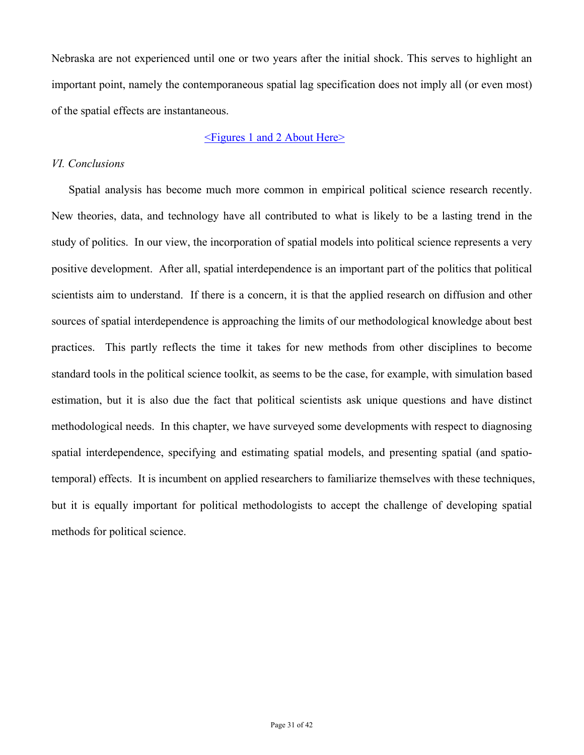Nebraska are not experienced until one or two years after the initial shock. This serves to highlight an important point, namely the contemporaneous spatial lag specification does not imply all (or even most) of the spatial effects are instantaneous.

## <Figures 1 and 2 About Here>

## *VI. Conclusions*

Spatial analysis has become much more common in empirical political science research recently. New theories, data, and technology have all contributed to what is likely to be a lasting trend in the study of politics. In our view, the incorporation of spatial models into political science represents a very positive development. After all, spatial interdependence is an important part of the politics that political scientists aim to understand. If there is a concern, it is that the applied research on diffusion and other sources of spatial interdependence is approaching the limits of our methodological knowledge about best practices. This partly reflects the time it takes for new methods from other disciplines to become standard tools in the political science toolkit, as seems to be the case, for example, with simulation based estimation, but it is also due the fact that political scientists ask unique questions and have distinct methodological needs. In this chapter, we have surveyed some developments with respect to diagnosing spatial interdependence, specifying and estimating spatial models, and presenting spatial (and spatiotemporal) effects. It is incumbent on applied researchers to familiarize themselves with these techniques, but it is equally important for political methodologists to accept the challenge of developing spatial methods for political science.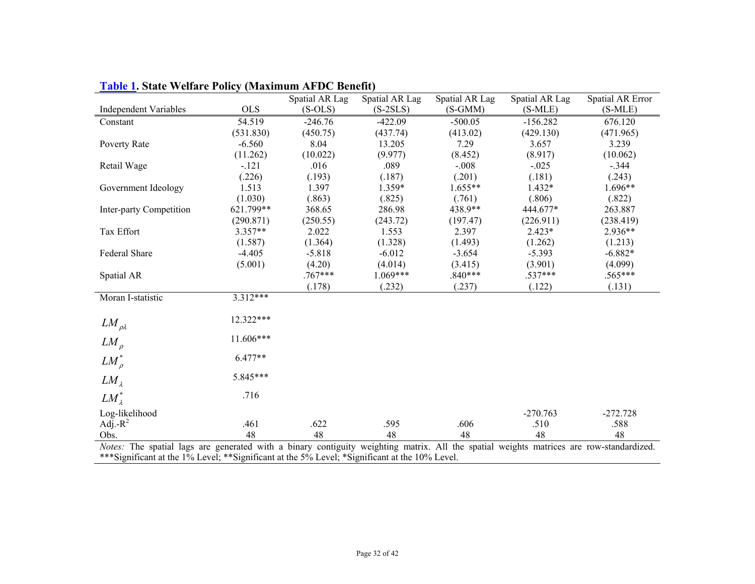| $\mathbf{F}$ and $\mathbf{F}$ is state $\mathbf{F}$ that $\mathbf{F}$ is since                                                         |            | <b>Exploration of the Det Denomic</b><br>Spatial AR Lag | Spatial AR Lag | Spatial AR Lag | Spatial AR Lag | Spatial AR Error |
|----------------------------------------------------------------------------------------------------------------------------------------|------------|---------------------------------------------------------|----------------|----------------|----------------|------------------|
| <b>Independent Variables</b>                                                                                                           | <b>OLS</b> | $(S-OLS)$                                               | $(S-2SLS)$     | $(S-GMM)$      | $(S-MLE)$      | $(S-MLE)$        |
| Constant                                                                                                                               | 54.519     | $-246.76$                                               | $-422.09$      | $-500.05$      | $-156.282$     | 676.120          |
|                                                                                                                                        | (531.830)  | (450.75)                                                | (437.74)       | (413.02)       | (429.130)      | (471.965)        |
| Poverty Rate                                                                                                                           | $-6.560$   | 8.04                                                    | 13.205         | 7.29           | 3.657          | 3.239            |
|                                                                                                                                        | (11.262)   | (10.022)                                                | (9.977)        | (8.452)        | (8.917)        | (10.062)         |
| Retail Wage                                                                                                                            | $-.121$    | .016                                                    | .089           | $-.008$        | $-.025$        | $-.344$          |
|                                                                                                                                        | (.226)     | (.193)                                                  | (.187)         | (.201)         | (.181)         | (.243)           |
| Government Ideology                                                                                                                    | 1.513      | 1.397                                                   | 1.359*         | $1.655**$      | $1.432*$       | 1.696**          |
|                                                                                                                                        | (1.030)    | (.863)                                                  | (.825)         | (.761)         | (.806)         | (.822)           |
| Inter-party Competition                                                                                                                | 621.799**  | 368.65                                                  | 286.98         | 438.9**        | 444.677*       | 263.887          |
|                                                                                                                                        | (290.871)  | (250.55)                                                | (243.72)       | (197.47)       | (226.911)      | (238.419)        |
| Tax Effort                                                                                                                             | $3.357**$  | 2.022                                                   | 1.553          | 2.397          | $2.423*$       | 2.936**          |
|                                                                                                                                        | (1.587)    | (1.364)                                                 | (1.328)        | (1.493)        | (1.262)        | (1.213)          |
| Federal Share                                                                                                                          | $-4.405$   | $-5.818$                                                | $-6.012$       | $-3.654$       | $-5.393$       | $-6.882*$        |
|                                                                                                                                        | (5.001)    | (4.20)                                                  | (4.014)        | (3.415)        | (3.901)        | (4.099)          |
| Spatial AR                                                                                                                             |            | $.767***$                                               | $1.069***$     | $.840***$      | $.537***$      | .565***          |
|                                                                                                                                        |            | (.178)                                                  | (.232)         | (.237)         | (.122)         | (.131)           |
| Moran I-statistic                                                                                                                      | $3.312***$ |                                                         |                |                |                |                  |
| $LM_{\rho\lambda}$                                                                                                                     | 12.322***  |                                                         |                |                |                |                  |
| $LM_{\rho}$                                                                                                                            | 11.606***  |                                                         |                |                |                |                  |
| $LM_o^*$                                                                                                                               | $6.477**$  |                                                         |                |                |                |                  |
| LM <sub>1</sub>                                                                                                                        | 5.845***   |                                                         |                |                |                |                  |
| $LM^*_{\lambda}$                                                                                                                       | .716       |                                                         |                |                |                |                  |
| Log-likelihood                                                                                                                         |            |                                                         |                |                | $-270.763$     | $-272.728$       |
| Adj.- $R^2$                                                                                                                            | .461       | .622                                                    | .595           | .606           | .510           | .588             |
| Obs.                                                                                                                                   | 48         | 48                                                      | 48             | 48             | 48             | 48               |
| Nates: The spatial lags are generated with a binary contiguity weighting matrix. All the spatial weights matrices are row-standardized |            |                                                         |                |                |                |                  |

**Table 1. State Welfare Policy (Maximum AFDC Benefit)** 

*Notes:* The spatial lags are generated with a binary contiguity weighting matrix. All the spatial weights matrices are row-standardized. \*\*\*Significant at the 1% Level; \*\*Significant at the 5% Level; \*Significant at the 10% Level.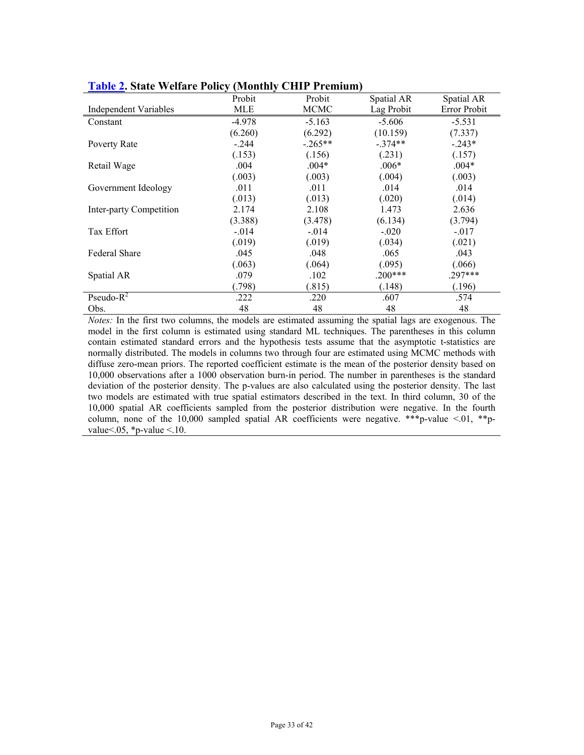|                              | $\sqrt{2}$<br>Probit | Probit      | Spatial AR | Spatial AR   |
|------------------------------|----------------------|-------------|------------|--------------|
| <b>Independent Variables</b> | MLE                  | <b>MCMC</b> | Lag Probit | Error Probit |
| Constant                     | $-4.978$             | $-5.163$    | $-5.606$   | $-5.531$     |
|                              | (6.260)              | (6.292)     | (10.159)   | (7.337)      |
| Poverty Rate                 | $-.244$              | $-.265**$   | $-.374**$  | $-0.243*$    |
|                              | (.153)               | (.156)      | (.231)     | (.157)       |
| Retail Wage                  | .004                 | $.004*$     | $.006*$    | $.004*$      |
|                              | (.003)               | (.003)      | (.004)     | (.003)       |
| Government Ideology          | .011                 | .011        | .014       | .014         |
|                              | (.013)               | (.013)      | (.020)     | (.014)       |
| Inter-party Competition      | 2.174                | 2.108       | 1.473      | 2.636        |
|                              | (3.388)              | (3.478)     | (6.134)    | (3.794)      |
| Tax Effort                   | $-0.014$             | $-0.014$    | $-.020$    | $-.017$      |
|                              | (.019)               | (.019)      | (.034)     | (.021)       |
| <b>Federal Share</b>         | .045                 | .048        | .065       | .043         |
|                              | (.063)               | (.064)      | (.095)     | (.066)       |
| Spatial AR                   | .079                 | .102        | $.200***$  | $.297***$    |
|                              | (.798)               | (.815)      | (.148)     | (.196)       |
| Pseudo- $R^2$                | .222                 | .220        | .607       | .574         |
| Obs.                         | 48                   | 48          | 48         | 48           |

|  |  |  | <b>Table 2. State Welfare Policy (Monthly CHIP Premium)</b> |
|--|--|--|-------------------------------------------------------------|
|  |  |  |                                                             |

*Notes:* In the first two columns, the models are estimated assuming the spatial lags are exogenous. The model in the first column is estimated using standard ML techniques. The parentheses in this column contain estimated standard errors and the hypothesis tests assume that the asymptotic t-statistics are normally distributed. The models in columns two through four are estimated using MCMC methods with diffuse zero-mean priors. The reported coefficient estimate is the mean of the posterior density based on 10,000 observations after a 1000 observation burn-in period. The number in parentheses is the standard deviation of the posterior density. The p-values are also calculated using the posterior density. The last two models are estimated with true spatial estimators described in the text. In third column, 30 of the 10,000 spatial AR coefficients sampled from the posterior distribution were negative. In the fourth column, none of the 10,000 sampled spatial AR coefficients were negative. \*\*\* p-value <.01, \*\* pvalue  $\leq$  0.05, \*p-value  $\leq$  10.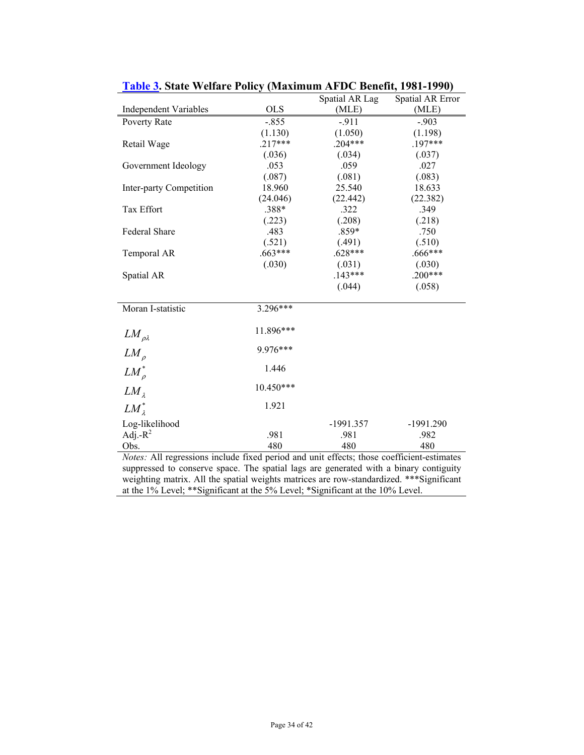|                              |             | Spatial AR Lag | Spatial AR Error |
|------------------------------|-------------|----------------|------------------|
| <b>Independent Variables</b> | <b>OLS</b>  | (MLE)          | (MLE)            |
| Poverty Rate                 | $-.855$     | $-911$         | $-903$           |
|                              | (1.130)     | (1.050)        | (1.198)          |
| Retail Wage                  | $.217***$   | $.204***$      | $.197***$        |
|                              | (.036)      | (.034)         | (.037)           |
| Government Ideology          | .053        | .059           | .027             |
|                              | (.087)      | (.081)         | (.083)           |
| Inter-party Competition      | 18.960      | 25.540         | 18.633           |
|                              | (24.046)    | (22.442)       | (22.382)         |
| Tax Effort                   | .388*       | .322           | .349             |
|                              | (.223)      | (.208)         | (.218)           |
| Federal Share                | .483        | $.859*$        | .750             |
|                              | (.521)      | (.491)         | (.510)           |
| Temporal AR                  | $.663***$   | $.628***$      | $.666***$        |
|                              | (.030)      | (.031)         | (.030)           |
| Spatial AR                   |             | $.143***$      | $.200***$        |
|                              |             | (.044)         | (.058)           |
| Moran I-statistic            | $3.296***$  |                |                  |
|                              |             |                |                  |
| $LM_{\rho\lambda}$           | 11.896***   |                |                  |
|                              |             |                |                  |
| $LM_{\rho}$                  | 9.976***    |                |                  |
| $LM_{\rho}^*$                | 1.446       |                |                  |
| $LM_{\lambda}$               | $10.450***$ |                |                  |
| $LM_{\lambda}^*$             | 1.921       |                |                  |
|                              |             |                |                  |
| Log-likelihood               |             | -1991.357      | $-1991.290$      |
| Adj.- $R^2$                  | .981        | .981           | .982             |
| Obs.                         | 480         | 480            | 480              |

**Table 3. State Welfare Policy (Maximum AFDC Benefit, 1981-1990)** 

*Notes:* All regressions include fixed period and unit effects; those coefficient-estimates suppressed to conserve space. The spatial lags are generated with a binary contiguity weighting matrix. All the spatial weights matrices are row-standardized. \*\*\*Significant at the 1% Level; \*\*Significant at the 5% Level; \*Significant at the 10% Level.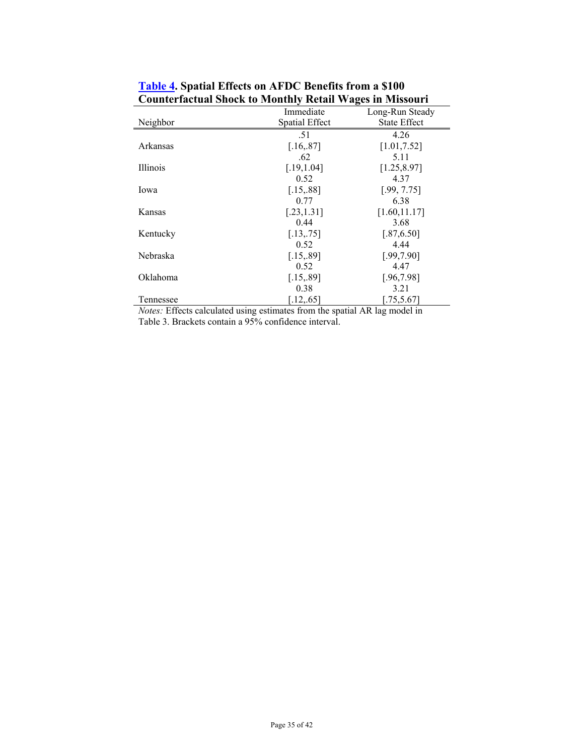| Сойнкі насійні эноск го імонінну тесійн ту адея ні імпяяси і |                       |                     |  |  |  |
|--------------------------------------------------------------|-----------------------|---------------------|--|--|--|
|                                                              | Immediate             | Long-Run Steady     |  |  |  |
| Neighbor                                                     | <b>Spatial Effect</b> | <b>State Effect</b> |  |  |  |
|                                                              | .51                   | 4.26                |  |  |  |
| Arkansas                                                     | [.16, .87]            | [1.01, 7.52]        |  |  |  |
|                                                              | .62                   | 5.11                |  |  |  |
| <i>Illinois</i>                                              | [.19, 1.04]           | [1.25, 8.97]        |  |  |  |
|                                                              | 0.52                  | 4.37                |  |  |  |
| Iowa                                                         | [.15, .88]            | [.99, 7.75]         |  |  |  |
|                                                              | 0.77                  | 6.38                |  |  |  |
| Kansas                                                       | [.23, 1.31]           | [1.60, 11.17]       |  |  |  |
|                                                              | 0.44                  | 3.68                |  |  |  |
| Kentucky                                                     | [.13, .75]            | [.87, 6.50]         |  |  |  |
|                                                              | 0.52                  | 4.44                |  |  |  |
| Nebraska                                                     | [.15, .89]            | [.99, 7.90]         |  |  |  |
|                                                              | 0.52                  | 4.47                |  |  |  |
| Oklahoma                                                     | [.15, .89]            | [.96, 7.98]         |  |  |  |
|                                                              | 0.38                  | 3.21                |  |  |  |
| Tennessee                                                    | [.12, .65]            | [.75, 5.67]         |  |  |  |

**Table 4. Spatial Effects on AFDC Benefits from a \$100 Counterfactual Shock to Monthly Retail Wages in Missouri** 

*Notes:* Effects calculated using estimates from the spatial AR lag model in Table 3. Brackets contain a 95% confidence interval.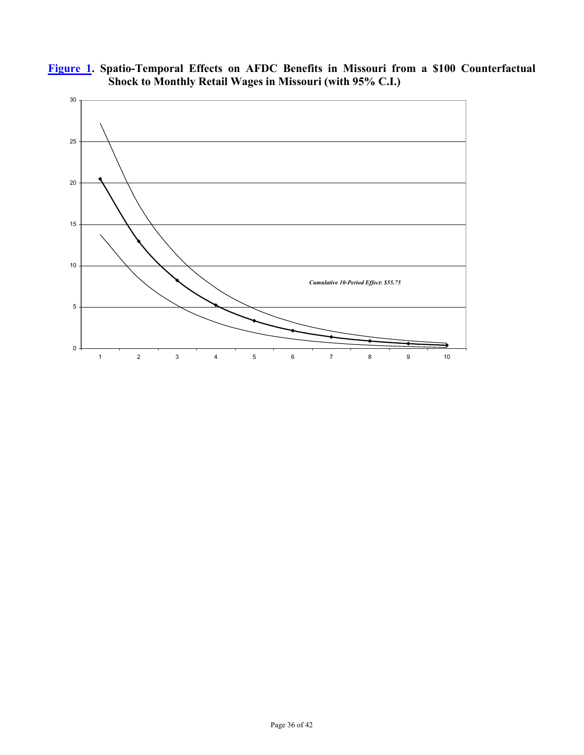

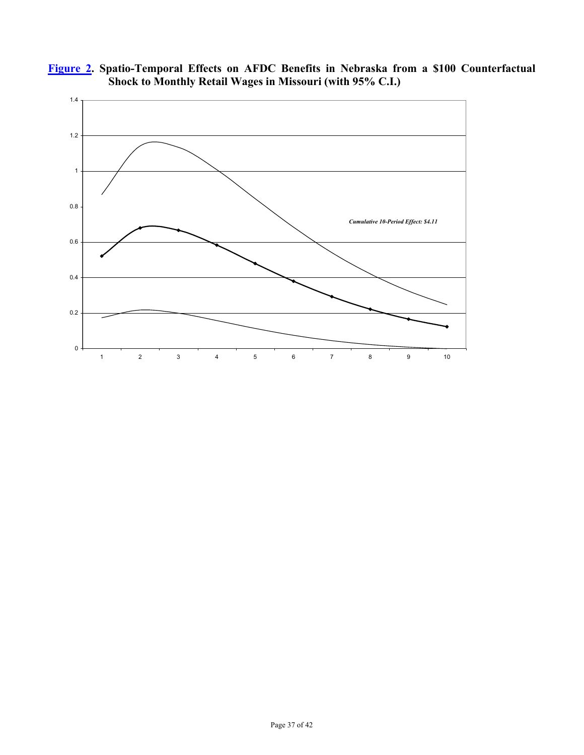

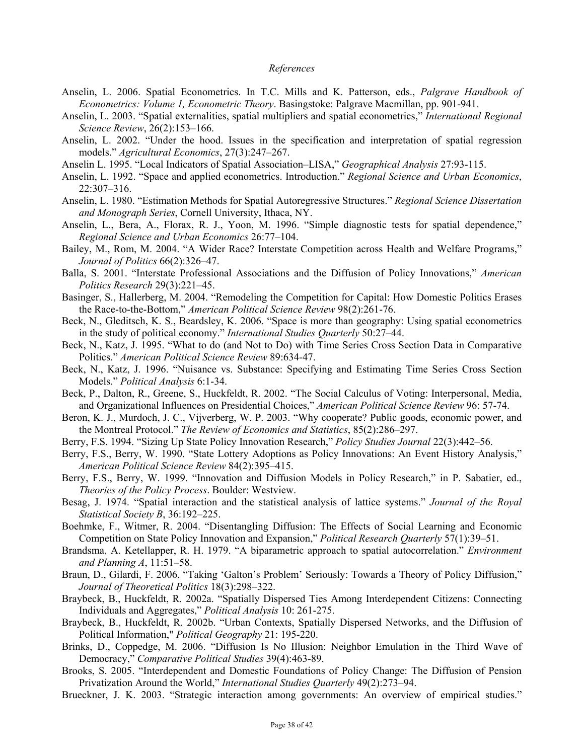#### *References*

- Anselin, L. 2006. Spatial Econometrics. In T.C. Mills and K. Patterson, eds., *Palgrave Handbook of Econometrics: Volume 1, Econometric Theory*. Basingstoke: Palgrave Macmillan, pp. 901-941.
- Anselin, L. 2003. "Spatial externalities, spatial multipliers and spatial econometrics," *International Regional Science Review*, 26(2):153–166.
- Anselin, L. 2002. "Under the hood. Issues in the specification and interpretation of spatial regression models." *Agricultural Economics*, 27(3):247–267.
- Anselin L. 1995. "Local Indicators of Spatial Association–LISA," *Geographical Analysis* 27:93-115.
- Anselin, L. 1992. "Space and applied econometrics. Introduction." *Regional Science and Urban Economics*, 22:307–316.
- Anselin, L. 1980. "Estimation Methods for Spatial Autoregressive Structures." *Regional Science Dissertation and Monograph Series*, Cornell University, Ithaca, NY.
- Anselin, L., Bera, A., Florax, R. J., Yoon, M. 1996. "Simple diagnostic tests for spatial dependence," *Regional Science and Urban Economics* 26:77–104.
- Bailey, M., Rom, M. 2004. "A Wider Race? Interstate Competition across Health and Welfare Programs," *Journal of Politics* 66(2):326–47.
- Balla, S. 2001. "Interstate Professional Associations and the Diffusion of Policy Innovations," *American Politics Research* 29(3):221–45.
- Basinger, S., Hallerberg, M. 2004. "Remodeling the Competition for Capital: How Domestic Politics Erases the Race-to-the-Bottom," *American Political Science Review* 98(2):261-76.
- Beck, N., Gleditsch, K. S., Beardsley, K. 2006. "Space is more than geography: Using spatial econometrics in the study of political economy." *International Studies Quarterly* 50:27–44.
- Beck, N., Katz, J. 1995. "What to do (and Not to Do) with Time Series Cross Section Data in Comparative Politics." *American Political Science Review* 89:634-47.
- Beck, N., Katz, J. 1996. "Nuisance vs. Substance: Specifying and Estimating Time Series Cross Section Models." *Political Analysis* 6:1-34.
- Beck, P., Dalton, R., Greene, S., Huckfeldt, R. 2002. "The Social Calculus of Voting: Interpersonal, Media, and Organizational Influences on Presidential Choices," *American Political Science Review* 96: 57-74.
- Beron, K. J., Murdoch, J. C., Vijverberg, W. P. 2003. "Why cooperate? Public goods, economic power, and the Montreal Protocol." *The Review of Economics and Statistics*, 85(2):286–297.
- Berry, F.S. 1994. "Sizing Up State Policy Innovation Research," *Policy Studies Journal* 22(3):442–56.
- Berry, F.S., Berry, W. 1990. "State Lottery Adoptions as Policy Innovations: An Event History Analysis," *American Political Science Review* 84(2):395–415.
- Berry, F.S., Berry, W. 1999. "Innovation and Diffusion Models in Policy Research," in P. Sabatier, ed., *Theories of the Policy Process*. Boulder: Westview.
- Besag, J. 1974. "Spatial interaction and the statistical analysis of lattice systems." *Journal of the Royal Statistical Society B*, 36:192–225.
- Boehmke, F., Witmer, R. 2004. "Disentangling Diffusion: The Effects of Social Learning and Economic Competition on State Policy Innovation and Expansion," *Political Research Quarterly* 57(1):39–51.
- Brandsma, A. Ketellapper, R. H. 1979. "A biparametric approach to spatial autocorrelation." *Environment and Planning A*, 11:51–58.
- Braun, D., Gilardi, F. 2006. "Taking 'Galton's Problem' Seriously: Towards a Theory of Policy Diffusion," *Journal of Theoretical Politics* 18(3):298–322.
- Braybeck, B., Huckfeldt, R. 2002a. "Spatially Dispersed Ties Among Interdependent Citizens: Connecting Individuals and Aggregates," *Political Analysis* 10: 261-275.
- Braybeck, B., Huckfeldt, R. 2002b. "Urban Contexts, Spatially Dispersed Networks, and the Diffusion of Political Information," *Political Geography* 21: 195-220.
- Brinks, D., Coppedge, M. 2006. "Diffusion Is No Illusion: Neighbor Emulation in the Third Wave of Democracy," *Comparative Political Studies* 39(4):463-89.
- Brooks, S. 2005. "Interdependent and Domestic Foundations of Policy Change: The Diffusion of Pension Privatization Around the World," *International Studies Quarterly* 49(2):273–94.
- Brueckner, J. K. 2003. "Strategic interaction among governments: An overview of empirical studies."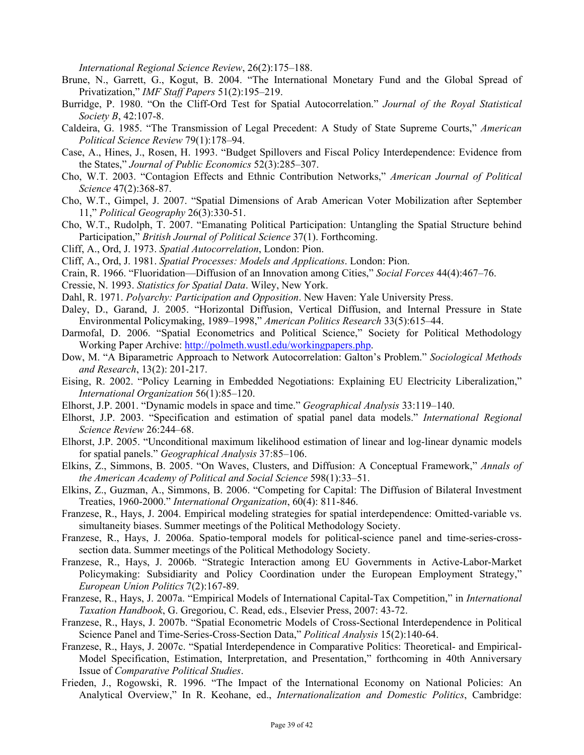*International Regional Science Review*, 26(2):175–188.

- Brune, N., Garrett, G., Kogut, B. 2004. "The International Monetary Fund and the Global Spread of Privatization," *IMF Staff Papers* 51(2):195–219.
- Burridge, P. 1980. "On the Cliff-Ord Test for Spatial Autocorrelation." *Journal of the Royal Statistical Society B*, 42:107-8.
- Caldeira, G. 1985. "The Transmission of Legal Precedent: A Study of State Supreme Courts," *American Political Science Review* 79(1):178–94.
- Case, A., Hines, J., Rosen, H. 1993. "Budget Spillovers and Fiscal Policy Interdependence: Evidence from the States," *Journal of Public Economics* 52(3):285–307.
- Cho, W.T. 2003. "Contagion Effects and Ethnic Contribution Networks," *American Journal of Political Science* 47(2):368-87.
- Cho, W.T., Gimpel, J. 2007. "Spatial Dimensions of Arab American Voter Mobilization after September 11," *Political Geography* 26(3):330-51.
- Cho, W.T., Rudolph, T. 2007. "Emanating Political Participation: Untangling the Spatial Structure behind Participation," *British Journal of Political Science* 37(1). Forthcoming.
- Cliff, A., Ord, J. 1973. *Spatial Autocorrelation*, London: Pion.
- Cliff, A., Ord, J. 1981. *Spatial Processes: Models and Applications*. London: Pion.
- Crain, R. 1966. "Fluoridation—Diffusion of an Innovation among Cities," *Social Forces* 44(4):467–76.
- Cressie, N. 1993. *Statistics for Spatial Data*. Wiley, New York.
- Dahl, R. 1971. *Polyarchy: Participation and Opposition*. New Haven: Yale University Press.
- Daley, D., Garand, J. 2005. "Horizontal Diffusion, Vertical Diffusion, and Internal Pressure in State Environmental Policymaking, 1989–1998," *American Politics Research* 33(5):615–44.
- Darmofal, D. 2006. "Spatial Econometrics and Political Science," Society for Political Methodology Working Paper Archive: http://polmeth.wustl.edu/workingpapers.php.
- Dow, M. "A Biparametric Approach to Network Autocorrelation: Galton's Problem." *Sociological Methods and Research*, 13(2): 201-217.
- Eising, R. 2002. "Policy Learning in Embedded Negotiations: Explaining EU Electricity Liberalization," *International Organization* 56(1):85–120.
- Elhorst, J.P. 2001. "Dynamic models in space and time." *Geographical Analysis* 33:119–140.
- Elhorst, J.P. 2003. "Specification and estimation of spatial panel data models." *International Regional Science Review* 26:244–68.
- Elhorst, J.P. 2005. "Unconditional maximum likelihood estimation of linear and log-linear dynamic models for spatial panels." *Geographical Analysis* 37:85–106.
- Elkins, Z., Simmons, B. 2005. "On Waves, Clusters, and Diffusion: A Conceptual Framework," *Annals of the American Academy of Political and Social Science* 598(1):33–51.
- Elkins, Z., Guzman, A., Simmons, B. 2006. "Competing for Capital: The Diffusion of Bilateral Investment Treaties, 1960-2000." *International Organization*, 60(4): 811-846.
- Franzese, R., Hays, J. 2004. Empirical modeling strategies for spatial interdependence: Omitted-variable vs. simultaneity biases. Summer meetings of the Political Methodology Society.
- Franzese, R., Hays, J. 2006a. Spatio-temporal models for political-science panel and time-series-crosssection data. Summer meetings of the Political Methodology Society.
- Franzese, R., Hays, J. 2006b. "Strategic Interaction among EU Governments in Active-Labor-Market Policymaking: Subsidiarity and Policy Coordination under the European Employment Strategy," *European Union Politics* 7(2):167-89.
- Franzese, R., Hays, J. 2007a. "Empirical Models of International Capital-Tax Competition," in *International Taxation Handbook*, G. Gregoriou, C. Read, eds., Elsevier Press, 2007: 43-72.
- Franzese, R., Hays, J. 2007b. "Spatial Econometric Models of Cross-Sectional Interdependence in Political Science Panel and Time-Series-Cross-Section Data," *Political Analysis* 15(2):140-64.
- Franzese, R., Hays, J. 2007c. "Spatial Interdependence in Comparative Politics: Theoretical- and Empirical-Model Specification, Estimation, Interpretation, and Presentation," forthcoming in 40th Anniversary Issue of *Comparative Political Studies*.
- Frieden, J., Rogowski, R. 1996. "The Impact of the International Economy on National Policies: An Analytical Overview," In R. Keohane, ed., *Internationalization and Domestic Politics*, Cambridge: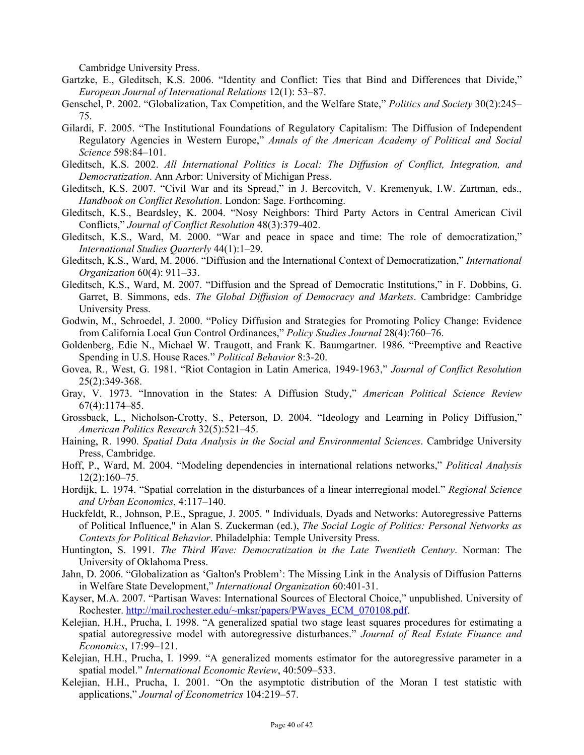Cambridge University Press.

- Gartzke, E., Gleditsch, K.S. 2006. "Identity and Conflict: Ties that Bind and Differences that Divide," *European Journal of International Relations* 12(1): 53–87.
- Genschel, P. 2002. "Globalization, Tax Competition, and the Welfare State," *Politics and Society* 30(2):245– 75.
- Gilardi, F. 2005. "The Institutional Foundations of Regulatory Capitalism: The Diffusion of Independent Regulatory Agencies in Western Europe," *Annals of the American Academy of Political and Social Science* 598:84–101.
- Gleditsch, K.S. 2002. *All International Politics is Local: The Diffusion of Conflict, Integration, and Democratization*. Ann Arbor: University of Michigan Press.
- Gleditsch, K.S. 2007. "Civil War and its Spread," in J. Bercovitch, V. Kremenyuk, I.W. Zartman, eds., *Handbook on Conflict Resolution*. London: Sage. Forthcoming.
- Gleditsch, K.S., Beardsley, K. 2004. "Nosy Neighbors: Third Party Actors in Central American Civil Conflicts," *Journal of Conflict Resolution* 48(3):379-402.
- Gleditsch, K.S., Ward, M. 2000. "War and peace in space and time: The role of democratization," *International Studies Quarterly* 44(1):1–29.
- Gleditsch, K.S., Ward, M. 2006. "Diffusion and the International Context of Democratization," *International Organization* 60(4): 911–33.
- Gleditsch, K.S., Ward, M. 2007. "Diffusion and the Spread of Democratic Institutions," in F. Dobbins, G. Garret, B. Simmons, eds. *The Global Diffusion of Democracy and Markets*. Cambridge: Cambridge University Press.
- Godwin, M., Schroedel, J. 2000. "Policy Diffusion and Strategies for Promoting Policy Change: Evidence from California Local Gun Control Ordinances," *Policy Studies Journal* 28(4):760–76.
- Goldenberg, Edie N., Michael W. Traugott, and Frank K. Baumgartner. 1986. "Preemptive and Reactive Spending in U.S. House Races." *Political Behavior* 8:3-20.
- Govea, R., West, G. 1981. "Riot Contagion in Latin America, 1949-1963," *Journal of Conflict Resolution* 25(2):349-368.
- Gray, V. 1973. "Innovation in the States: A Diffusion Study," *American Political Science Review* 67(4):1174–85.
- Grossback, L., Nicholson-Crotty, S., Peterson, D. 2004. "Ideology and Learning in Policy Diffusion," *American Politics Research* 32(5):521–45.
- Haining, R. 1990. *Spatial Data Analysis in the Social and Environmental Sciences*. Cambridge University Press, Cambridge.
- Hoff, P., Ward, M. 2004. "Modeling dependencies in international relations networks," *Political Analysis* 12(2):160–75.
- Hordijk, L. 1974. "Spatial correlation in the disturbances of a linear interregional model." *Regional Science and Urban Economics*, 4:117–140.
- Huckfeldt, R., Johnson, P.E., Sprague, J. 2005. " Individuals, Dyads and Networks: Autoregressive Patterns of Political Influence," in Alan S. Zuckerman (ed.), *The Social Logic of Politics: Personal Networks as Contexts for Political Behavior*. Philadelphia: Temple University Press.
- Huntington, S. 1991. *The Third Wave: Democratization in the Late Twentieth Century*. Norman: The University of Oklahoma Press.
- Jahn, D. 2006. "Globalization as 'Galton's Problem': The Missing Link in the Analysis of Diffusion Patterns in Welfare State Development," *International Organization* 60:401-31.
- Kayser, M.A. 2007. "Partisan Waves: International Sources of Electoral Choice," unpublished. University of Rochester. http://mail.rochester.edu/~mksr/papers/PWaves\_ECM\_070108.pdf.
- Kelejian, H.H., Prucha, I. 1998. "A generalized spatial two stage least squares procedures for estimating a spatial autoregressive model with autoregressive disturbances." *Journal of Real Estate Finance and Economics*, 17:99–121.
- Kelejian, H.H., Prucha, I. 1999. "A generalized moments estimator for the autoregressive parameter in a spatial model." *International Economic Review*, 40:509–533.
- Kelejian, H.H., Prucha, I. 2001. "On the asymptotic distribution of the Moran I test statistic with applications," *Journal of Econometrics* 104:219–57.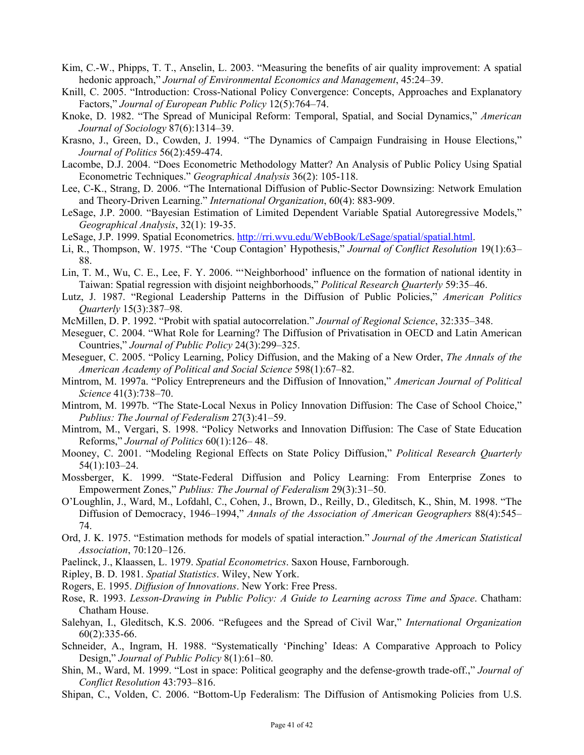- Kim, C.-W., Phipps, T. T., Anselin, L. 2003. "Measuring the benefits of air quality improvement: A spatial hedonic approach," *Journal of Environmental Economics and Management*, 45:24–39.
- Knill, C. 2005. "Introduction: Cross-National Policy Convergence: Concepts, Approaches and Explanatory Factors," *Journal of European Public Policy* 12(5):764–74.
- Knoke, D. 1982. "The Spread of Municipal Reform: Temporal, Spatial, and Social Dynamics," *American Journal of Sociology* 87(6):1314–39.
- Krasno, J., Green, D., Cowden, J. 1994. "The Dynamics of Campaign Fundraising in House Elections," *Journal of Politics* 56(2):459-474.
- Lacombe, D.J. 2004. "Does Econometric Methodology Matter? An Analysis of Public Policy Using Spatial Econometric Techniques." *Geographical Analysis* 36(2): 105-118.
- Lee, C-K., Strang, D. 2006. "The International Diffusion of Public-Sector Downsizing: Network Emulation and Theory-Driven Learning." *International Organization*, 60(4): 883-909.
- LeSage, J.P. 2000. "Bayesian Estimation of Limited Dependent Variable Spatial Autoregressive Models," *Geographical Analysis*, 32(1): 19-35.
- LeSage, J.P. 1999. Spatial Econometrics. http://rri.wvu.edu/WebBook/LeSage/spatial/spatial.html.
- Li, R., Thompson, W. 1975. "The 'Coup Contagion' Hypothesis," *Journal of Conflict Resolution* 19(1):63– 88.
- Lin, T. M., Wu, C. E., Lee, F. Y. 2006. "'Neighborhood' influence on the formation of national identity in Taiwan: Spatial regression with disjoint neighborhoods," *Political Research Quarterly* 59:35–46.
- Lutz, J. 1987. "Regional Leadership Patterns in the Diffusion of Public Policies," *American Politics Quarterly* 15(3):387–98.
- McMillen, D. P. 1992. "Probit with spatial autocorrelation." *Journal of Regional Science*, 32:335–348.
- Meseguer, C. 2004. "What Role for Learning? The Diffusion of Privatisation in OECD and Latin American Countries," *Journal of Public Policy* 24(3):299–325.
- Meseguer, C. 2005. "Policy Learning, Policy Diffusion, and the Making of a New Order, *The Annals of the American Academy of Political and Social Science* 598(1):67–82.
- Mintrom, M. 1997a. "Policy Entrepreneurs and the Diffusion of Innovation," *American Journal of Political Science* 41(3):738–70.
- Mintrom, M. 1997b. "The State-Local Nexus in Policy Innovation Diffusion: The Case of School Choice," *Publius: The Journal of Federalism* 27(3):41–59.
- Mintrom, M., Vergari, S. 1998. "Policy Networks and Innovation Diffusion: The Case of State Education Reforms," *Journal of Politics* 60(1):126– 48.
- Mooney, C. 2001. "Modeling Regional Effects on State Policy Diffusion," *Political Research Quarterly* 54(1):103–24.
- Mossberger, K. 1999. "State-Federal Diffusion and Policy Learning: From Enterprise Zones to Empowerment Zones," *Publius: The Journal of Federalism* 29(3):31–50.
- O'Loughlin, J., Ward, M., Lofdahl, C., Cohen, J., Brown, D., Reilly, D., Gleditsch, K., Shin, M. 1998. "The Diffusion of Democracy, 1946–1994," *Annals of the Association of American Geographers* 88(4):545– 74.
- Ord, J. K. 1975. "Estimation methods for models of spatial interaction." *Journal of the American Statistical Association*, 70:120–126.
- Paelinck, J., Klaassen, L. 1979. *Spatial Econometrics*. Saxon House, Farnborough.
- Ripley, B. D. 1981. *Spatial Statistics*. Wiley, New York.
- Rogers, E. 1995. *Diffusion of Innovations*. New York: Free Press.
- Rose, R. 1993. *Lesson-Drawing in Public Policy: A Guide to Learning across Time and Space*. Chatham: Chatham House.
- Salehyan, I., Gleditsch, K.S. 2006. "Refugees and the Spread of Civil War," *International Organization* 60(2):335-66.
- Schneider, A., Ingram, H. 1988. "Systematically 'Pinching' Ideas: A Comparative Approach to Policy Design," *Journal of Public Policy* 8(1):61–80.
- Shin, M., Ward, M. 1999. "Lost in space: Political geography and the defense-growth trade-off.," *Journal of Conflict Resolution* 43:793–816.
- Shipan, C., Volden, C. 2006. "Bottom-Up Federalism: The Diffusion of Antismoking Policies from U.S.